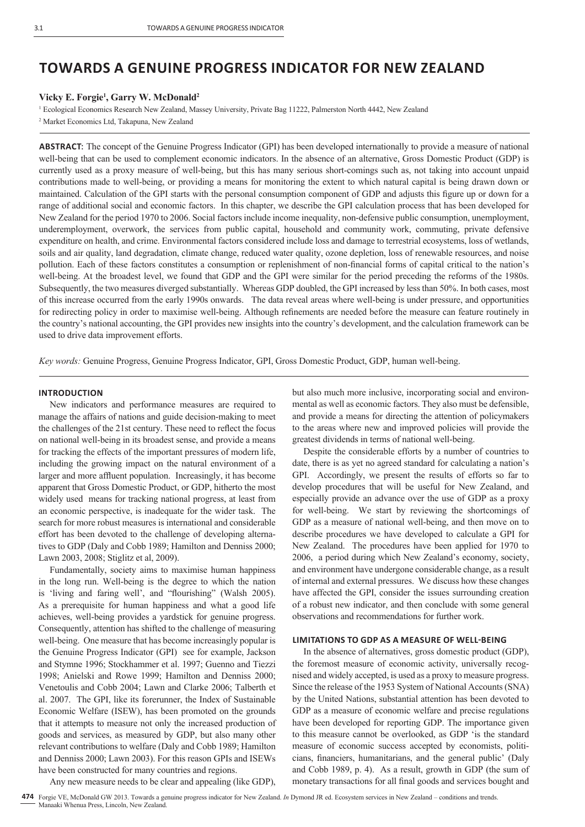# **TOWARDS A GENUINE PROGRESS INDICATOR FOR NEW ZEALAND**

## **Vicky E. Forgie1 , Garry W. McDonald2**

<sup>1</sup> Ecological Economics Research New Zealand, Massey University, Private Bag 11222, Palmerston North 4442, New Zealand

2 Market Economics Ltd, Takapuna, New Zealand

**ABSTRACT**: The concept of the Genuine Progress Indicator (GPI) has been developed internationally to provide a measure of national well-being that can be used to complement economic indicators. In the absence of an alternative, Gross Domestic Product (GDP) is currently used as a proxy measure of well-being, but this has many serious short-comings such as, not taking into account unpaid contributions made to well-being, or providing a means for monitoring the extent to which natural capital is being drawn down or maintained. Calculation of the GPI starts with the personal consumption component of GDP and adjusts this figure up or down for a range of additional social and economic factors. In this chapter, we describe the GPI calculation process that has been developed for New Zealand for the period 1970 to 2006. Social factors include income inequality, non-defensive public consumption, unemployment, underemployment, overwork, the services from public capital, household and community work, commuting, private defensive expenditure on health, and crime. Environmental factors considered include loss and damage to terrestrial ecosystems, loss of wetlands, soils and air quality, land degradation, climate change, reduced water quality, ozone depletion, loss of renewable resources, and noise pollution. Each of these factors constitutes a consumption or replenishment of non-financial forms of capital critical to the nation's well-being. At the broadest level, we found that GDP and the GPI were similar for the period preceding the reforms of the 1980s. Subsequently, the two measures diverged substantially. Whereas GDP doubled, the GPI increased by less than 50%. In both cases, most of this increase occurred from the early 1990s onwards. The data reveal areas where well-being is under pressure, and opportunities for redirecting policy in order to maximise well-being. Although refinements are needed before the measure can feature routinely in the country's national accounting, the GPI provides new insights into the country's development, and the calculation framework can be used to drive data improvement efforts.

*Key words:* Genuine Progress, Genuine Progress Indicator, GPI, Gross Domestic Product, GDP, human well-being.

## **INTRODUCTION**

New indicators and performance measures are required to manage the affairs of nations and guide decision-making to meet the challenges of the 21st century. These need to reflect the focus on national well-being in its broadest sense, and provide a means for tracking the effects of the important pressures of modern life, including the growing impact on the natural environment of a larger and more affluent population. Increasingly, it has become apparent that Gross Domestic Product, or GDP, hitherto the most widely used means for tracking national progress, at least from an economic perspective, is inadequate for the wider task. The search for more robust measures is international and considerable effort has been devoted to the challenge of developing alternatives to GDP (Daly and Cobb 1989; Hamilton and Denniss 2000; Lawn 2003, 2008; Stiglitz et al, 2009).

Fundamentally, society aims to maximise human happiness in the long run. Well-being is the degree to which the nation is 'living and faring well', and "flourishing" (Walsh 2005). As a prerequisite for human happiness and what a good life achieves, well-being provides a yardstick for genuine progress. Consequently, attention has shifted to the challenge of measuring well-being. One measure that has become increasingly popular is the Genuine Progress Indicator (GPI) see for example, Jackson and Stymne 1996; Stockhammer et al. 1997; Guenno and Tiezzi 1998; Anielski and Rowe 1999; Hamilton and Denniss 2000; Venetoulis and Cobb 2004; Lawn and Clarke 2006; Talberth et al. 2007. The GPI, like its forerunner, the Index of Sustainable Economic Welfare (ISEW), has been promoted on the grounds that it attempts to measure not only the increased production of goods and services, as measured by GDP, but also many other relevant contributions to welfare (Daly and Cobb 1989; Hamilton and Denniss 2000; Lawn 2003). For this reason GPIs and ISEWs have been constructed for many countries and regions.

Any new measure needs to be clear and appealing (like GDP),

but also much more inclusive, incorporating social and environmental as well as economic factors. They also must be defensible, and provide a means for directing the attention of policymakers to the areas where new and improved policies will provide the greatest dividends in terms of national well-being.

Despite the considerable efforts by a number of countries to date, there is as yet no agreed standard for calculating a nation's GPI. Accordingly, we present the results of efforts so far to develop procedures that will be useful for New Zealand, and especially provide an advance over the use of GDP as a proxy for well-being. We start by reviewing the shortcomings of GDP as a measure of national well-being, and then move on to describe procedures we have developed to calculate a GPI for New Zealand. The procedures have been applied for 1970 to 2006, a period during which New Zealand's economy, society, and environment have undergone considerable change, as a result of internal and external pressures. We discuss how these changes have affected the GPI, consider the issues surrounding creation of a robust new indicator, and then conclude with some general observations and recommendations for further work.

## **LIMITATIONS TO GDP AS A MEASURE OF WELL-BEING**

In the absence of alternatives, gross domestic product (GDP), the foremost measure of economic activity, universally recognised and widely accepted, is used as a proxy to measure progress. Since the release of the 1953 System of National Accounts (SNA) by the United Nations, substantial attention has been devoted to GDP as a measure of economic welfare and precise regulations have been developed for reporting GDP. The importance given to this measure cannot be overlooked, as GDP 'is the standard measure of economic success accepted by economists, politicians, financiers, humanitarians, and the general public' (Daly and Cobb 1989, p. 4). As a result, growth in GDP (the sum of monetary transactions for all final goods and services bought and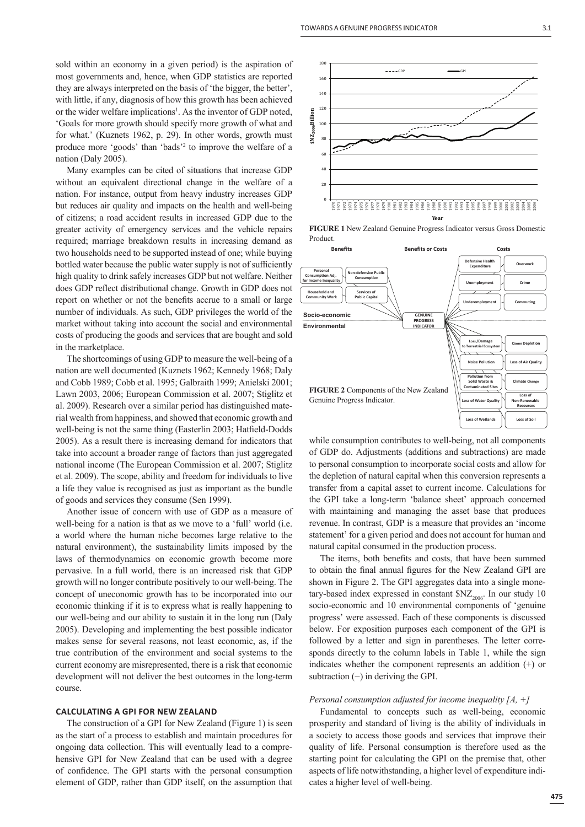sold within an economy in a given period) is the aspiration of most governments and, hence, when GDP statistics are reported they are always interpreted on the basis of 'the bigger, the better', with little, if any, diagnosis of how this growth has been achieved or the wider welfare implications<sup>1</sup>. As the inventor of GDP noted, 'Goals for more growth should specify more growth of what and for what.' (Kuznets 1962, p. 29). In other words, growth must produce more 'goods' than 'bads'2 to improve the welfare of a nation (Daly 2005).

Many examples can be cited of situations that increase GDP without an equivalent directional change in the welfare of a nation. For instance, output from heavy industry increases GDP but reduces air quality and impacts on the health and well-being of citizens; a road accident results in increased GDP due to the greater activity of emergency services and the vehicle repairs required; marriage breakdown results in increasing demand as two households need to be supported instead of one; while buying bottled water because the public water supply is not of sufficiently high quality to drink safely increases GDP but not welfare. Neither does GDP reflect distributional change. Growth in GDP does not report on whether or not the benefits accrue to a small or large number of individuals. As such, GDP privileges the world of the market without taking into account the social and environmental costs of producing the goods and services that are bought and sold in the marketplace.

The shortcomings of using GDP to measure the well-being of a nation are well documented (Kuznets 1962; Kennedy 1968; Daly and Cobb 1989; Cobb et al. 1995; Galbraith 1999; Anielski 2001; Lawn 2003, 2006; European Commission et al. 2007; Stiglitz et al. 2009). Research over a similar period has distinguished material wealth from happiness, and showed that economic growth and well-being is not the same thing (Easterlin 2003; Hatfield-Dodds 2005). As a result there is increasing demand for indicators that take into account a broader range of factors than just aggregated national income (The European Commission et al. 2007; Stiglitz et al. 2009). The scope, ability and freedom for individuals to live a life they value is recognised as just as important as the bundle of goods and services they consume (Sen 1999).

Another issue of concern with use of GDP as a measure of well-being for a nation is that as we move to a 'full' world (i.e. a world where the human niche becomes large relative to the natural environment), the sustainability limits imposed by the laws of thermodynamics on economic growth become more pervasive. In a full world, there is an increased risk that GDP growth will no longer contribute positively to our well-being. The concept of uneconomic growth has to be incorporated into our economic thinking if it is to express what is really happening to our well-being and our ability to sustain it in the long run (Daly 2005). Developing and implementing the best possible indicator makes sense for several reasons, not least economic, as, if the true contribution of the environment and social systems to the current economy are misrepresented, there is a risk that economic development will not deliver the best outcomes in the long-term course.

#### **CALCULATING A GPI FOR NEW ZEALAND**

The construction of a GPI for New Zealand (Figure 1) is seen as the start of a process to establish and maintain procedures for ongoing data collection. This will eventually lead to a comprehensive GPI for New Zealand that can be used with a degree of confidence. The GPI starts with the personal consumption element of GDP, rather than GDP itself, on the assumption that



**FIGURE 1** New Zealand Genuine Progress Indicator versus Gross Domestic Product.



while consumption contributes to well-being, not all components of GDP do. Adjustments (additions and subtractions) are made to personal consumption to incorporate social costs and allow for the depletion of natural capital when this conversion represents a transfer from a capital asset to current income. Calculations for the GPI take a long-term 'balance sheet' approach concerned with maintaining and managing the asset base that produces revenue. In contrast, GDP is a measure that provides an 'income statement' for a given period and does not account for human and natural capital consumed in the production process.

The items, both benefits and costs, that have been summed to obtain the final annual figures for the New Zealand GPI are shown in Figure 2. The GPI aggregates data into a single monetary-based index expressed in constant  $NZ_{2006}$ . In our study 10 socio-economic and 10 environmental components of 'genuine progress' were assessed. Each of these components is discussed below. For exposition purposes each component of the GPI is followed by a letter and sign in parentheses. The letter corresponds directly to the column labels in Table 1, while the sign indicates whether the component represents an addition (+) or subtraction  $(-)$  in deriving the GPI.

## *Personal consumption adjusted for income inequality [A, +]*

Fundamental to concepts such as well-being, economic prosperity and standard of living is the ability of individuals in a society to access those goods and services that improve their quality of life. Personal consumption is therefore used as the starting point for calculating the GPI on the premise that, other aspects of life notwithstanding, a higher level of expenditure indicates a higher level of well-being.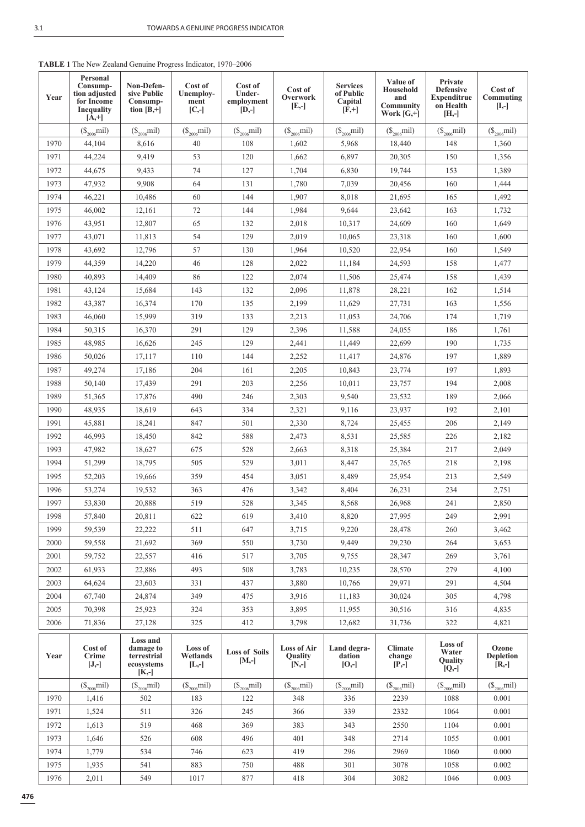| Year | Personal<br>Consump-<br>tion adjusted<br>for Income<br><b>Inequality</b><br>$[A,+]$ | Non-Defen-<br>sive Public<br>Consump-<br>tion $[B,+]$          | Cost of<br>Unemploy-<br>ment<br>$[C,-]$ | Cost of<br>Under-<br>employment<br>$[D,-]$ | Cost of<br>Overwork<br>$[E,-]$           | <b>Services</b><br>of Public<br>Capital<br>$[\bar{F},+]$ | Value of<br>Household<br>and<br>Community<br>Work $[G,+]$ | Private<br><b>Defensive</b><br><b>Expenditrue</b><br>on Health<br>$[H,-]$ | Cost of<br>Commuting<br>$[I,-]$      |  |
|------|-------------------------------------------------------------------------------------|----------------------------------------------------------------|-----------------------------------------|--------------------------------------------|------------------------------------------|----------------------------------------------------------|-----------------------------------------------------------|---------------------------------------------------------------------------|--------------------------------------|--|
|      | $(\$_{2006}$ mil)                                                                   | $(\$_{2006}$ mil)                                              | $(\$_{2006}$ mil)                       | $({\mathbb S}_{2006}$ mil)                 | $(\$\}_{2006}$ mil)                      | $(\$_{2006}$ mil)                                        | $(\$_{2006}$ mil)                                         | $(\$_{2006}$ mil)                                                         | $(\$_{2006}$ mil)                    |  |
| 1970 | 44.104                                                                              | 8,616                                                          | 40                                      | 108                                        | 1,602                                    | 5,968                                                    | 18,440                                                    | 148                                                                       | 1,360                                |  |
| 1971 | 44,224                                                                              | 9,419                                                          | 53                                      | 120                                        | 1,662                                    | 6,897                                                    | 20,305                                                    | 150                                                                       | 1,356                                |  |
| 1972 | 44,675                                                                              | 9,433                                                          | 74                                      | 127                                        | 1,704                                    | 6,830                                                    | 19,744                                                    | 153                                                                       | 1,389                                |  |
| 1973 | 47,932                                                                              | 9,908                                                          | 64                                      | 131                                        | 1,780                                    | 7,039                                                    | 20,456                                                    | 160                                                                       | 1,444                                |  |
| 1974 | 46,221                                                                              | 10,486                                                         | 60                                      | 144                                        | 1,907                                    | 8,018                                                    | 21,695                                                    | 165                                                                       | 1,492                                |  |
| 1975 | 46,002                                                                              | 12,161                                                         | 72                                      | 144                                        | 1,984                                    | 9,644                                                    | 23,642                                                    | 163                                                                       | 1,732                                |  |
| 1976 | 43,951                                                                              | 12,807                                                         | 65                                      | 132                                        | 2,018                                    | 10,317                                                   | 24,609                                                    | 160                                                                       | 1,649                                |  |
| 1977 | 43,071                                                                              | 11,813                                                         | 54                                      | 129                                        | 2,019                                    | 10,065                                                   | 23,318                                                    | 160                                                                       | 1,600                                |  |
| 1978 | 43,692                                                                              | 12,796                                                         | 57                                      | 130                                        | 1,964                                    | 10,520                                                   | 22,954                                                    | 160                                                                       | 1,549                                |  |
| 1979 | 44,359                                                                              | 14,220                                                         | 46                                      | 128                                        | 2,022                                    | 11,184                                                   | 24,593                                                    | 158                                                                       | 1,477                                |  |
| 1980 | 40,893                                                                              | 14,409                                                         | 86                                      | 122                                        | 2,074                                    | 11,506                                                   | 25,474                                                    | 158                                                                       | 1,439                                |  |
| 1981 | 43,124                                                                              | 15,684                                                         | 143                                     | 132                                        | 2,096                                    | 11,878                                                   | 28,221                                                    | 162                                                                       | 1,514                                |  |
| 1982 | 43,387                                                                              | 16,374                                                         | 170                                     | 135                                        | 2,199                                    | 11,629                                                   | 27,731                                                    | 163                                                                       | 1,556                                |  |
| 1983 | 46,060                                                                              | 15,999                                                         | 319                                     | 133                                        | 2,213                                    | 11,053                                                   | 24,706                                                    | 174                                                                       | 1,719                                |  |
| 1984 | 50,315                                                                              | 16.370                                                         | 291                                     | 129                                        | 2,396                                    | 11,588                                                   | 24,055                                                    | 186                                                                       | 1,761                                |  |
| 1985 | 48,985                                                                              | 16,626                                                         | 245                                     | 129                                        | 2,441                                    | 11,449                                                   | 22,699                                                    | 190                                                                       | 1,735                                |  |
| 1986 | 50,026                                                                              | 17.117                                                         | 110                                     | 144                                        | 2,252                                    | 11,417                                                   | 24,876                                                    | 197                                                                       | 1,889                                |  |
| 1987 | 49,274                                                                              | 17,186                                                         | 204                                     | 161                                        | 2,205                                    | 10,843                                                   | 23,774                                                    | 197                                                                       | 1,893                                |  |
| 1988 | 50,140                                                                              | 17,439                                                         | 291                                     | 203                                        | 2,256                                    | 10,011                                                   | 23,757                                                    | 194                                                                       | 2,008                                |  |
| 1989 | 51,365                                                                              | 17,876                                                         | 490                                     | 246                                        | 2,303                                    | 9,540                                                    | 23,532                                                    | 189                                                                       | 2,066                                |  |
| 1990 | 48,935                                                                              | 18,619                                                         | 643                                     | 334                                        | 2,321                                    | 9,116                                                    | 23,937                                                    | 192                                                                       | 2,101                                |  |
| 1991 | 45,881                                                                              | 18,241                                                         | 847                                     | 501                                        | 2,330                                    | 8,724                                                    | 25,455                                                    | 206                                                                       | 2,149                                |  |
| 1992 | 46,993                                                                              | 18,450                                                         | 842                                     | 588                                        | 2,473                                    | 8,531                                                    | 25,585                                                    | 226                                                                       | 2,182                                |  |
| 1993 | 47,982                                                                              | 18,627                                                         | 675                                     | 528                                        | 2,663                                    | 8,318                                                    | 25,384                                                    | 217                                                                       | 2,049                                |  |
| 1994 | 51,299                                                                              | 18,795                                                         | 505                                     | 529                                        | 3,011                                    | 8,447                                                    | 25,765                                                    | 218                                                                       | 2,198                                |  |
| 1995 | 52,203                                                                              | 19,666                                                         | 359                                     | 454                                        | 3,051                                    | 8,489                                                    | 25,954                                                    | 213                                                                       | 2,549                                |  |
| 1996 | 53,274                                                                              | 19,532                                                         | 363                                     | 476                                        | 3,342                                    | 8,404                                                    | 26,231                                                    | 234                                                                       | 2,751                                |  |
| 1997 | 53,830                                                                              | 20,888                                                         | 519                                     | 528                                        | 3,345                                    | 8,568                                                    | 26,968                                                    | 241                                                                       | 2,850                                |  |
| 1998 | 57,840                                                                              | 20,811                                                         | 622                                     | 619                                        | 3,410                                    | 8,820                                                    | 27,995                                                    | 249                                                                       | 2,991                                |  |
| 1999 | 59,539                                                                              | 22,222                                                         | 511                                     | 647                                        | 3,715                                    | 9,220                                                    | 28,478                                                    | 260                                                                       | 3,462                                |  |
| 2000 | 59,558                                                                              | 21,692                                                         | 369                                     | 550                                        | 3,730                                    | 9,449                                                    | 29,230                                                    | 264                                                                       | 3,653                                |  |
| 2001 | 59,752                                                                              | 22,557                                                         | 416                                     | 517                                        | 3,705                                    | 9,755                                                    | 28,347                                                    | 269                                                                       | 3,761                                |  |
| 2002 | 61,933                                                                              | 22,886                                                         | 493                                     | 508                                        | 3,783                                    | 10,235                                                   | 28,570                                                    | 279                                                                       | 4,100                                |  |
| 2003 | 64,624                                                                              | 23,603                                                         | 331                                     | 437                                        | 3,880                                    | 10,766                                                   | 29,971                                                    | 291                                                                       | 4,504                                |  |
| 2004 | 67,740                                                                              | 24,874                                                         | 349                                     | 475                                        | 3,916                                    | 11,183                                                   | 30,024                                                    | 305                                                                       | 4,798                                |  |
| 2005 | 70,398                                                                              | 25,923                                                         | 324                                     | 353                                        | 3,895                                    | 11,955                                                   | 30,516                                                    | 316                                                                       | 4,835                                |  |
| 2006 | 71,836                                                                              | 27,128                                                         | 325                                     | 412                                        | 3,798                                    | 12,682                                                   | 31,736                                                    | 322                                                                       | 4,821                                |  |
| Year | Cost of<br>Crime<br>$[J,-]$                                                         | Loss and<br>damage to<br>terrestrial<br>ecosystems<br>$[K, -]$ | Loss of<br>Wetlands<br>$[L, -]$         | <b>Loss of Soils</b><br>$[M,-]$            | <b>Loss of Air</b><br>Quality<br>$[N,-]$ | Land degra-<br>dation<br>$[0,-]$                         | <b>Climate</b><br>change<br>$[P,-]$                       | Loss of<br>Water<br>Quality<br>$[Q,-]$                                    | Ozone<br><b>Depletion</b><br>$[R,-]$ |  |
|      | $(\$_{2006}$ mil)                                                                   | $(\$_{2006}$ mil)                                              | $(\$_{2006}$ mil)                       | $(\mathbb{S}_{2006}$ mil)                  | $(\$\}_{2006}$ mil)                      | $(\mathbb{S}_{2006}$ mil)                                | $(\$_{2006}$ mil)                                         | $(\mathbb{S}_{2006}$ mil)                                                 | $(\mathbb{S}_{2006}$ mil)            |  |
| 1970 | 1,416                                                                               | 502                                                            | 183                                     | 122                                        | 348                                      | 336                                                      | 2239                                                      | 1088                                                                      | 0.001                                |  |
| 1971 | 1,524                                                                               | 511                                                            | 326                                     | 245                                        | 366                                      | 339                                                      | 2332                                                      | 1064                                                                      | 0.001                                |  |
| 1972 | 1,613                                                                               | 519                                                            | 468                                     | 369                                        | 383                                      | 343                                                      | 2550                                                      | 1104                                                                      | 0.001                                |  |
| 1973 | 1,646                                                                               | 526                                                            | 608                                     | 496                                        | 401                                      | 348                                                      | 2714                                                      | 1055                                                                      | 0.001                                |  |
| 1974 | 1,779                                                                               | 534                                                            | 746                                     | 623                                        | 419                                      | 296                                                      | 2969                                                      | 1060                                                                      | 0.000                                |  |
| 1975 | 1,935                                                                               | 541                                                            | 883                                     | 750                                        | 488                                      | 301                                                      | 3078                                                      | 1058                                                                      | 0.002                                |  |
| 1976 | 2,011                                                                               | 549                                                            | 1017                                    | 877                                        | 418                                      | 304                                                      | 3082                                                      | 1046                                                                      | 0.003                                |  |

T

T

T

**TABLE 1** The New Zealand Genuine Progress Indicator, 1970–2006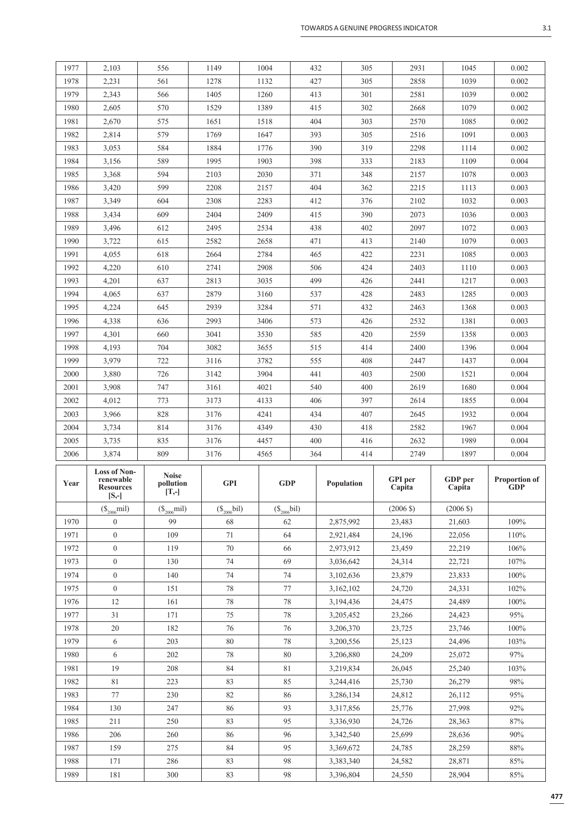|                | ٦ |
|----------------|---|
| ×              |   |
| ٦<br>. .<br>۰. |   |

| 1977         | 2,103                                                            | 556                                                                | 1149              | 1004              | 432 | 305                    | 2931                     | 1045                | 0.002                              |
|--------------|------------------------------------------------------------------|--------------------------------------------------------------------|-------------------|-------------------|-----|------------------------|--------------------------|---------------------|------------------------------------|
| 1978         | 2,231                                                            | 561                                                                | 1278              | 1132              | 427 | 305                    | 2858                     | 1039                | 0.002                              |
| 1979         | 2,343                                                            | 566                                                                | 1405              | 1260              | 413 | 301                    | 2581                     | 1039                | 0.002                              |
| 1980         | 2,605                                                            | 570                                                                | 1529              | 1389              | 415 | 302                    | 2668                     | 1079                | 0.002                              |
| 1981         | 2,670                                                            | 575                                                                | 1651              | 1518              | 404 | 303                    | 2570                     | 1085                | 0.002                              |
| 1982         | 2,814                                                            | 579                                                                | 1769              | 1647              | 393 | 305                    | 2516                     | 1091                | 0.003                              |
| 1983         | 3,053                                                            | 584                                                                | 1884              | 1776              | 390 | 319                    | 2298                     | 1114                | 0.002                              |
| 1984         | 3,156                                                            | 589                                                                | 1995              | 1903              | 398 | 333                    | 2183                     | 1109                | 0.004                              |
| 1985         | 3,368                                                            | 594                                                                | 2103              | 2030              | 371 | 348                    | 2157                     | 1078                | 0.003                              |
| 1986         | 3,420                                                            | 599                                                                | 2208              | 2157              | 404 | 362                    | 2215                     | 1113                | 0.003                              |
| 1987         | 3,349                                                            | 604                                                                | 2308              | 2283              | 412 | 376                    | 2102                     | 1032                | 0.003                              |
| 1988         | 3,434                                                            | 609                                                                | 2404              | 2409              | 415 | 390                    | 2073                     | 1036                | 0.003                              |
| 1989         | 3,496                                                            | 612                                                                | 2495              | 2534              | 438 | 402                    | 2097                     | 1072                | 0.003                              |
| 1990         | 3,722                                                            | 615                                                                | 2582              | 2658              | 471 | 413                    | 2140                     | 1079                | 0.003                              |
| 1991         | 4,055                                                            | 618                                                                | 2664              | 2784              | 465 | 422                    | 2231                     | 1085                | 0.003                              |
| 1992         | 4,220                                                            | 610                                                                | 2741              | 2908              | 506 | 424                    | 2403                     | 1110                | 0.003                              |
| 1993         | 4,201                                                            | 637                                                                | 2813              | 3035              | 499 | 426                    | 2441                     | 1217                | 0.003                              |
| 1994         | 4,065                                                            | 637                                                                | 2879              | 3160              | 537 | 428                    | 2483                     | 1285                | 0.003                              |
| 1995         | 4,224                                                            | 645                                                                | 2939              | 3284              | 571 | 432                    | 2463                     | 1368                | 0.003                              |
| 1996         | 4,338                                                            | 636                                                                | 2993              | 3406              | 573 | 426                    | 2532                     | 1381                | 0.003                              |
| 1997         | 4,301                                                            | 660                                                                | 3041              | 3530              | 585 | 420                    | 2559                     | 1358                | 0.003                              |
| 1998         | 4,193                                                            | 704                                                                | 3082              | 3655              | 515 | 414                    | 2400                     | 1396                | 0.004                              |
| 1999         | 3,979                                                            | 722                                                                | 3116              | 3782              | 555 | 408                    | 2447                     | 1437                | 0.004                              |
| 2000         | 3,880                                                            | 726                                                                | 3142              | 3904              | 441 | 403                    | 2500                     | 1521                | 0.004                              |
| 2001         | 3,908                                                            | 747                                                                | 3161              | 4021              | 540 | 400                    | 2619                     | 1680                | 0.004                              |
| 2002         | 4,012                                                            | 773                                                                | 3173              | 4133              | 406 | 397                    | 2614                     | 1855                | 0.004                              |
| 2003         | 3,966                                                            | 828                                                                | 3176              | 4241              | 434 | 407                    | 2645                     | 1932                | 0.004                              |
| 2004         | 3,734                                                            | 814                                                                | 3176              | 4349              | 430 | 418                    | 2582                     | 1967                | 0.004                              |
| 2005         | 3,735                                                            | 835                                                                | 3176              | 4457              | 400 | 416                    | 2632                     | 1989                | 0.004                              |
| 2006         |                                                                  |                                                                    |                   |                   |     |                        |                          |                     |                                    |
|              | 3,874                                                            | 809                                                                | 3176              | 4565              | 364 | 414                    | 2749                     | 1897                | 0.004                              |
| Year         | <b>Loss of Non-</b><br>renewable<br><b>Resources</b><br>$[S, -]$ | <b>Noise</b><br>pollution<br>$\left[ \mathrm{T}, \text{-} \right]$ | <b>GPI</b>        | <b>GDP</b>        |     | Population             | <b>GPI</b> per<br>Capita | GDP per<br>Capita   | <b>Proportion of</b><br><b>GDP</b> |
|              | $(\$_{2006}$ mil)                                                | $(\mathbb{S}_{2006}$ mil)                                          | $(\$_{2006}$ bil) | $(\$_{2006}$ bil) |     |                        | $(2006 \text{ } $)$      | $(2006 \text{ } $)$ |                                    |
| 1970         | $\mathbf{0}$                                                     | 99                                                                 | 68                | 62                |     | 2,875,992              | 23,483                   | 21,603              | 109%                               |
| 1971         | $\boldsymbol{0}$                                                 | 109                                                                | 71                | 64                |     | 2,921,484              | 24,196                   | 22,056              | 110%                               |
| 1972         | $\boldsymbol{0}$                                                 | 119                                                                | 70                | 66                |     | 2,973,912              | 23,459                   | 22,219              | 106%                               |
| 1973         | $\boldsymbol{0}$                                                 | 130                                                                | 74                | 69                |     | 3,036,642              | 24,314                   | 22,721              | 107%                               |
| 1974         | $\boldsymbol{0}$                                                 | 140                                                                | 74                | 74                |     | 3,102,636              | 23,879                   | 23,833              | 100%                               |
| 1975         | $\boldsymbol{0}$                                                 | 151                                                                | $78\,$            | $77\,$            |     | 3,162,102              | 24,720                   | 24,331              | 102%                               |
| 1976         | 12                                                               | 161                                                                | 78                | 78                |     | 3,194,436              | 24,475                   | 24,489              | 100%                               |
| 1977         | 31                                                               | 171                                                                | 75                | 78                |     | 3,205,452              | 23,266                   | 24,423              | 95%                                |
| 1978         | $20\,$                                                           | 182                                                                | 76                | 76                |     | 3,206,370              | 23,725                   | 23,746              | 100%                               |
| 1979         | 6                                                                | 203                                                                | 80                | 78                |     | 3,200,556              | 25,123                   | 24,496              | 103%                               |
| 1980         | 6                                                                | 202                                                                | 78                | 80                |     | 3,206,880              | 24,209                   | 25,072              | $97\%$                             |
| 1981         | 19                                                               | 208                                                                | 84                | 81                |     | 3,219,834              | 26,045                   | 25,240              | 103%                               |
| 1982         | 81                                                               | 223                                                                | 83                | 85                |     | 3,244,416              | 25,730                   | 26,279              | 98%                                |
| 1983         | 77                                                               | 230                                                                | 82                | 86                |     | 3,286,134              | 24,812                   | 26,112              | 95%                                |
| 1984         | 130                                                              | 247                                                                | 86                | 93                |     | 3,317,856              | 25,776                   | 27,998              | 92%                                |
| 1985         | 211                                                              | 250                                                                | 83                | 95                |     | 3,336,930              | 24,726                   | 28,363              | $87\%$                             |
| 1986         | 206                                                              | 260                                                                | 86                | 96                |     | 3,342,540              | 25,699                   | 28,636              | 90%                                |
| 1987         | 159                                                              | 275                                                                | 84                | 95                |     | 3,369,672              | 24,785                   | 28,259              | 88%                                |
| 1988<br>1989 | 171<br>181                                                       | 286<br>300                                                         | 83<br>83          | 98<br>98          |     | 3,383,340<br>3,396,804 | 24,582                   | 28,871<br>28,904    | $85\%$<br>85%                      |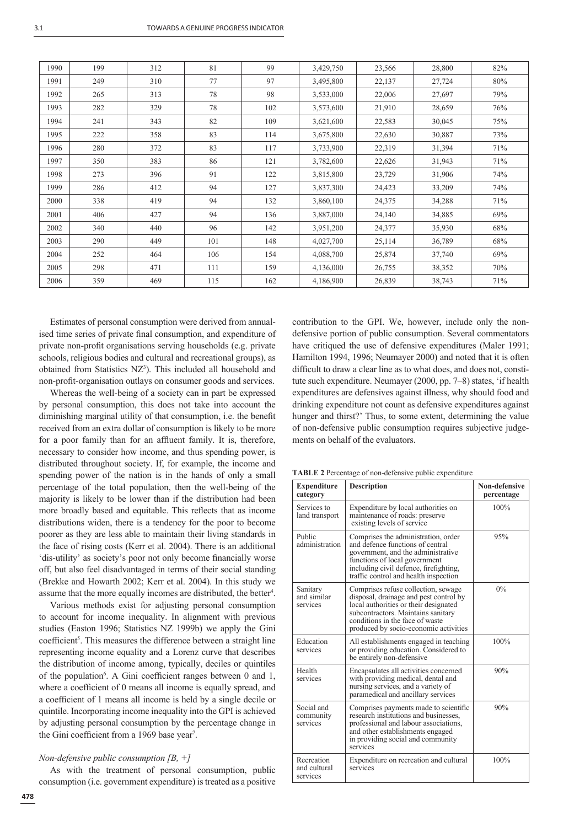| 1990 | 199 | 312 | 81  | 99  | 3,429,750 | 23,566 | 28,800 | 82% |
|------|-----|-----|-----|-----|-----------|--------|--------|-----|
| 1991 | 249 | 310 | 77  | 97  | 3,495,800 | 22,137 | 27,724 | 80% |
| 1992 | 265 | 313 | 78  | 98  | 3,533,000 | 22,006 | 27,697 | 79% |
| 1993 | 282 | 329 | 78  | 102 | 3,573,600 | 21,910 | 28,659 | 76% |
| 1994 | 241 | 343 | 82  | 109 | 3,621,600 | 22,583 | 30,045 | 75% |
| 1995 | 222 | 358 | 83  | 114 | 3,675,800 | 22,630 | 30,887 | 73% |
| 1996 | 280 | 372 | 83  | 117 | 3,733,900 | 22,319 | 31,394 | 71% |
| 1997 | 350 | 383 | 86  | 121 | 3,782,600 | 22,626 | 31,943 | 71% |
| 1998 | 273 | 396 | 91  | 122 | 3,815,800 | 23,729 | 31,906 | 74% |
| 1999 | 286 | 412 | 94  | 127 | 3,837,300 | 24,423 | 33,209 | 74% |
| 2000 | 338 | 419 | 94  | 132 | 3,860,100 | 24,375 | 34,288 | 71% |
| 2001 | 406 | 427 | 94  | 136 | 3,887,000 | 24,140 | 34,885 | 69% |
| 2002 | 340 | 440 | 96  | 142 | 3,951,200 | 24,377 | 35,930 | 68% |
| 2003 | 290 | 449 | 101 | 148 | 4,027,700 | 25,114 | 36,789 | 68% |
| 2004 | 252 | 464 | 106 | 154 | 4,088,700 | 25,874 | 37,740 | 69% |
| 2005 | 298 | 471 | 111 | 159 | 4,136,000 | 26,755 | 38,352 | 70% |
| 2006 | 359 | 469 | 115 | 162 | 4,186,900 | 26,839 | 38,743 | 71% |

Estimates of personal consumption were derived from annualised time series of private final consumption, and expenditure of private non-profit organisations serving households (e.g. private schools, religious bodies and cultural and recreational groups), as obtained from Statistics NZ<sup>3</sup>). This included all household and non-profit-organisation outlays on consumer goods and services.

Whereas the well-being of a society can in part be expressed by personal consumption, this does not take into account the diminishing marginal utility of that consumption, i.e. the benefit received from an extra dollar of consumption is likely to be more for a poor family than for an affluent family. It is, therefore, necessary to consider how income, and thus spending power, is distributed throughout society. If, for example, the income and spending power of the nation is in the hands of only a small percentage of the total population, then the well-being of the majority is likely to be lower than if the distribution had been more broadly based and equitable. This reflects that as income distributions widen, there is a tendency for the poor to become poorer as they are less able to maintain their living standards in the face of rising costs (Kerr et al. 2004). There is an additional 'dis-utility' as society's poor not only become financially worse off, but also feel disadvantaged in terms of their social standing (Brekke and Howarth 2002; Kerr et al. 2004). In this study we assume that the more equally incomes are distributed, the better<sup>4</sup>.

Various methods exist for adjusting personal consumption to account for income inequality. In alignment with previous studies (Easton 1996; Statistics NZ 1999b) we apply the Gini coefficient<sup>5</sup>. This measures the difference between a straight line representing income equality and a Lorenz curve that describes the distribution of income among, typically, deciles or quintiles of the population<sup>6</sup>. A Gini coefficient ranges between 0 and 1, where a coefficient of 0 means all income is equally spread, and a coefficient of 1 means all income is held by a single decile or quintile. Incorporating income inequality into the GPI is achieved by adjusting personal consumption by the percentage change in the Gini coefficient from a 1969 base year<sup>7</sup>.

## *Non-defensive public consumption [B, +]*

As with the treatment of personal consumption, public consumption (i.e. government expenditure) is treated as a positive contribution to the GPI. We, however, include only the nondefensive portion of public consumption. Several commentators have critiqued the use of defensive expenditures (Maler 1991; Hamilton 1994, 1996; Neumayer 2000) and noted that it is often difficult to draw a clear line as to what does, and does not, constitute such expenditure. Neumayer (2000, pp. 7–8) states, 'if health expenditures are defensives against illness, why should food and drinking expenditure not count as defensive expenditures against hunger and thirst?' Thus, to some extent, determining the value of non-defensive public consumption requires subjective judgements on behalf of the evaluators.

**TABLE 2** Percentage of non-defensive public expenditure

| <b>Expenditure</b><br>category         | <b>Description</b>                                                                                                                                                                                                                       | <b>Non-defensive</b><br>percentage |
|----------------------------------------|------------------------------------------------------------------------------------------------------------------------------------------------------------------------------------------------------------------------------------------|------------------------------------|
| Services to<br>land transport          | Expenditure by local authorities on<br>maintenance of roads: preserve<br>existing levels of service                                                                                                                                      | 100%                               |
| Public<br>administration               | Comprises the administration, order<br>and defence functions of central<br>government, and the administrative<br>functions of local government<br>including civil defence, firefighting,<br>traffic control and health inspection        | 95%                                |
| Sanitary<br>and similar<br>services    | Comprises refuse collection, sewage<br>disposal, drainage and pest control by<br>local authorities or their designated<br>subcontractors. Maintains sanitary<br>conditions in the face of waste<br>produced by socio-economic activities | 0%                                 |
| Education<br>services                  | All establishments engaged in teaching<br>or providing education. Considered to<br>be entirely non-defensive                                                                                                                             | 100%                               |
| Health<br>services                     | Encapsulates all activities concerned<br>with providing medical, dental and<br>nursing services, and a variety of<br>paramedical and ancillary services                                                                                  | 90%                                |
| Social and<br>community<br>services    | Comprises payments made to scientific<br>research institutions and businesses,<br>professional and labour associations,<br>and other establishments engaged<br>in providing social and community<br>services                             | 90%                                |
| Recreation<br>and cultural<br>services | Expenditure on recreation and cultural<br>services                                                                                                                                                                                       | 100%                               |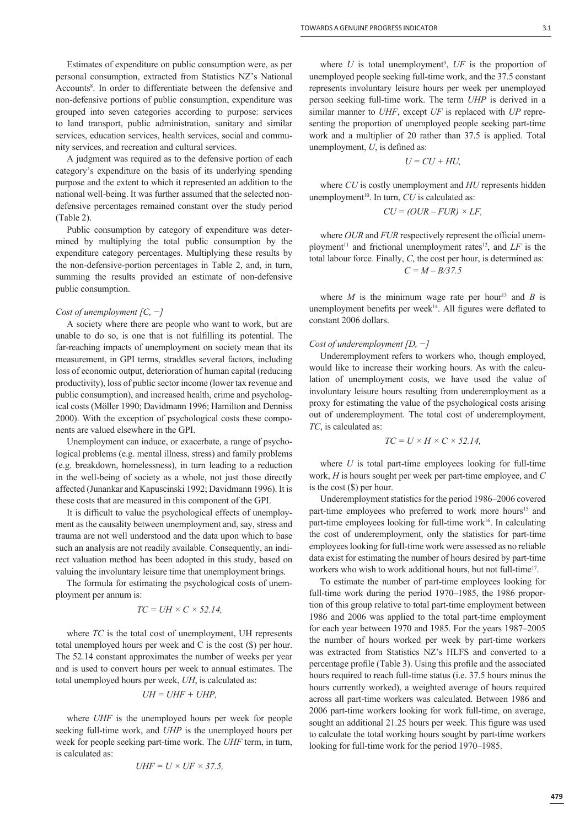Estimates of expenditure on public consumption were, as per personal consumption, extracted from Statistics NZ's National Accounts<sup>8</sup>. In order to differentiate between the defensive and non-defensive portions of public consumption, expenditure was grouped into seven categories according to purpose: services to land transport, public administration, sanitary and similar services, education services, health services, social and community services, and recreation and cultural services.

A judgment was required as to the defensive portion of each category's expenditure on the basis of its underlying spending purpose and the extent to which it represented an addition to the national well-being. It was further assumed that the selected nondefensive percentages remained constant over the study period (Table 2).

Public consumption by category of expenditure was determined by multiplying the total public consumption by the expenditure category percentages. Multiplying these results by the non-defensive-portion percentages in Table 2, and, in turn, summing the results provided an estimate of non-defensive public consumption.

## *Cost of unemployment [C, −]*

A society where there are people who want to work, but are unable to do so, is one that is not fulfilling its potential. The far-reaching impacts of unemployment on society mean that its measurement, in GPI terms, straddles several factors, including loss of economic output, deterioration of human capital (reducing productivity), loss of public sector income (lower tax revenue and public consumption), and increased health, crime and psychological costs (Möller 1990; Davidmann 1996; Hamilton and Denniss 2000). With the exception of psychological costs these components are valued elsewhere in the GPI.

Unemployment can induce, or exacerbate, a range of psychological problems (e.g. mental illness, stress) and family problems (e.g. breakdown, homelessness), in turn leading to a reduction in the well-being of society as a whole, not just those directly affected (Junankar and Kapuscinski 1992; Davidmann 1996). It is these costs that are measured in this component of the GPI.

It is difficult to value the psychological effects of unemployment as the causality between unemployment and, say, stress and trauma are not well understood and the data upon which to base such an analysis are not readily available. Consequently, an indirect valuation method has been adopted in this study, based on valuing the involuntary leisure time that unemployment brings.

The formula for estimating the psychological costs of unemployment per annum is:

$$
TC = UH \times C \times 52.14,
$$

where *TC* is the total cost of unemployment, UH represents total unemployed hours per week and C is the cost (\$) per hour. The 52.14 constant approximates the number of weeks per year and is used to convert hours per week to annual estimates. The total unemployed hours per week, *UH*, is calculated as:

$$
UH = UHF + UHP,
$$

where *UHF* is the unemployed hours per week for people seeking full-time work, and *UHP* is the unemployed hours per week for people seeking part-time work. The *UHF* term, in turn, is calculated as:

$$
UHF = U \times UF \times 37.5,
$$

where  $U$  is total unemployment<sup>9</sup>,  $UF$  is the proportion of unemployed people seeking full-time work, and the 37.5 constant represents involuntary leisure hours per week per unemployed person seeking full-time work. The term *UHP* is derived in a similar manner to *UHF*, except *UF* is replaced with *UP* repre-

senting the proportion of unemployed people seeking part-time work and a multiplier of 20 rather than 37.5 is applied. Total

unemboyment, *U*, is defined as: 
$$
U = CU + HU,
$$

where *CU* is costly unemployment and *HU* represents hidden unemployment<sup>10</sup>. In turn,  $CU$  is calculated as:

$$
CU = (OUR - FUR) \times LF,
$$

where *OUR* and *FUR* respectively represent the official unemployment<sup>11</sup> and frictional unemployment rates<sup>12</sup>, and *LF* is the total labour force. Finally, *C*, the cost per hour, is determined as: *C = M – B/37.5*

where  $M$  is the minimum wage rate per hour<sup>13</sup> and  $B$  is unemployment benefits per week<sup>14</sup>. All figures were deflated to constant 2006 dollars.

### *Cost of underemployment [D, −]*

Underemployment refers to workers who, though employed, would like to increase their working hours. As with the calculation of unemployment costs, we have used the value of involuntary leisure hours resulting from underemployment as a proxy for estimating the value of the psychological costs arising out of underemployment. The total cost of underemployment, *TC*, is calculated as:

$$
TC = U \times H \times C \times 52.14,
$$

where *U* is total part-time employees looking for full-time work, *H* is hours sought per week per part-time employee, and *C* is the cost (\$) per hour.

Underemployment statistics for the period 1986–2006 covered part-time employees who preferred to work more hours<sup>15</sup> and part-time employees looking for full-time work<sup>16</sup>. In calculating the cost of underemployment, only the statistics for part-time employees looking for full-time work were assessed as no reliable data exist for estimating the number of hours desired by part-time workers who wish to work additional hours, but not full-time17.

To estimate the number of part-time employees looking for full-time work during the period 1970–1985, the 1986 proportion of this group relative to total part-time employment between 1986 and 2006 was applied to the total part-time employment for each year between 1970 and 1985. For the years 1987–2005 the number of hours worked per week by part-time workers was extracted from Statistics NZ's HLFS and converted to a percentage profile (Table 3). Using this profile and the associated hours required to reach full-time status (i.e. 37.5 hours minus the hours currently worked), a weighted average of hours required across all part-time workers was calculated. Between 1986 and 2006 part-time workers looking for work full-time, on average, sought an additional 21.25 hours per week. This figure was used to calculate the total working hours sought by part-time workers looking for full-time work for the period 1970–1985.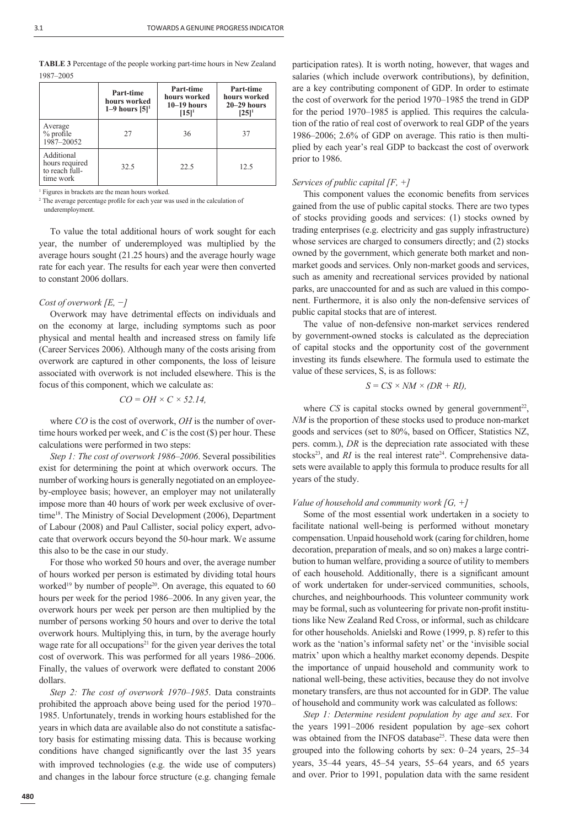| <b>TABLE 3</b> Percentage of the people working part-time hours in New Zealand |  |
|--------------------------------------------------------------------------------|--|
| 1987–2005                                                                      |  |

|                                                             | Part-time<br>hours worked<br>1–9 hours $[5]$ <sup>1</sup> | Part-time<br>hours worked<br>$10-19$ hours<br>$[15]^{1}$ | Part-time<br>hours worked<br>$20 - 29$ hours<br>$[25]$ <sup>1</sup> |
|-------------------------------------------------------------|-----------------------------------------------------------|----------------------------------------------------------|---------------------------------------------------------------------|
| Average<br>$%$ profile<br>1987-20052                        | 27                                                        | 36                                                       | 37                                                                  |
| Additional<br>hours required<br>to reach full-<br>time work | 32.5                                                      | 22.5                                                     | 12.5                                                                |

1 Figures in brackets are the mean hours worked.

<sup>2</sup> The average percentage profile for each year was used in the calculation of underemployment.

To value the total additional hours of work sought for each year, the number of underemployed was multiplied by the average hours sought (21.25 hours) and the average hourly wage rate for each year. The results for each year were then converted to constant 2006 dollars.

## *Cost of overwork [E, −]*

Overwork may have detrimental effects on individuals and on the economy at large, including symptoms such as poor physical and mental health and increased stress on family life (Career Services 2006). Although many of the costs arising from overwork are captured in other components, the loss of leisure associated with overwork is not included elsewhere. This is the focus of this component, which we calculate as:

$$
CO = OH \times C \times 52.14,
$$

where *CO* is the cost of overwork, *OH* is the number of overtime hours worked per week, and *C* is the cost (\$) per hour. These calculations were performed in two steps:

*Step 1: The cost of overwork 1986–2006*. Several possibilities exist for determining the point at which overwork occurs. The number of working hours is generally negotiated on an employeeby-employee basis; however, an employer may not unilaterally impose more than 40 hours of work per week exclusive of overtime<sup>18</sup>. The Ministry of Social Development (2006), Department of Labour (2008) and Paul Callister, social policy expert, advocate that overwork occurs beyond the 50-hour mark. We assume this also to be the case in our study.

For those who worked 50 hours and over, the average number of hours worked per person is estimated by dividing total hours worked<sup>19</sup> by number of people<sup>20</sup>. On average, this equated to 60 hours per week for the period 1986–2006. In any given year, the overwork hours per week per person are then multiplied by the number of persons working 50 hours and over to derive the total overwork hours. Multiplying this, in turn, by the average hourly wage rate for all occupations<sup>21</sup> for the given year derives the total cost of overwork. This was performed for all years 1986–2006. Finally, the values of overwork were deflated to constant 2006 dollars.

*Step 2: The cost of overwork 1970–1985*. Data constraints prohibited the approach above being used for the period 1970– 1985. Unfortunately, trends in working hours established for the years in which data are available also do not constitute a satisfactory basis for estimating missing data. This is because working conditions have changed significantly over the last 35 years with improved technologies (e.g. the wide use of computers) and changes in the labour force structure (e.g. changing female participation rates). It is worth noting, however, that wages and salaries (which include overwork contributions), by definition, are a key contributing component of GDP. In order to estimate the cost of overwork for the period 1970–1985 the trend in GDP for the period 1970–1985 is applied. This requires the calculation of the ratio of real cost of overwork to real GDP of the years 1986–2006; 2.6% of GDP on average. This ratio is then multiplied by each year's real GDP to backcast the cost of overwork prior to 1986.

## *Services of public capital [F, +]*

This component values the economic benefits from services gained from the use of public capital stocks. There are two types of stocks providing goods and services: (1) stocks owned by trading enterprises (e.g. electricity and gas supply infrastructure) whose services are charged to consumers directly; and (2) stocks owned by the government, which generate both market and nonmarket goods and services. Only non-market goods and services, such as amenity and recreational services provided by national parks, are unaccounted for and as such are valued in this component. Furthermore, it is also only the non-defensive services of public capital stocks that are of interest.

The value of non-defensive non-market services rendered by government-owned stocks is calculated as the depreciation of capital stocks and the opportunity cost of the government investing its funds elsewhere. The formula used to estimate the value of these services, S, is as follows:

$$
S = CS \times NM \times (DR + RI),
$$

where  $CS$  is capital stocks owned by general government<sup>22</sup>, *NM* is the proportion of these stocks used to produce non-market goods and services (set to 80%, based on Officer, Statistics NZ, pers. comm.), *DR* is the depreciation rate associated with these stocks<sup>23</sup>, and *RI* is the real interest rate<sup>24</sup>. Comprehensive datasets were available to apply this formula to produce results for all years of the study.

## *Value of household and community work [G, +]*

Some of the most essential work undertaken in a society to facilitate national well-being is performed without monetary compensation. Unpaid household work (caring for children, home decoration, preparation of meals, and so on) makes a large contribution to human welfare, providing a source of utility to members of each household. Additionally, there is a significant amount of work undertaken for under-serviced communities, schools, churches, and neighbourhoods. This volunteer community work may be formal, such as volunteering for private non-profit institutions like New Zealand Red Cross, or informal, such as childcare for other households. Anielski and Rowe (1999, p. 8) refer to this work as the 'nation's informal safety net' or the 'invisible social matrix' upon which a healthy market economy depends. Despite the importance of unpaid household and community work to national well-being, these activities, because they do not involve monetary transfers, are thus not accounted for in GDP. The value of household and community work was calculated as follows:

*Step 1: Determine resident population by age and sex*. For the years 1991–2006 resident population by age–sex cohort was obtained from the INFOS database<sup>25</sup>. These data were then grouped into the following cohorts by sex: 0–24 years, 25–34 years, 35–44 years, 45–54 years, 55–64 years, and 65 years and over. Prior to 1991, population data with the same resident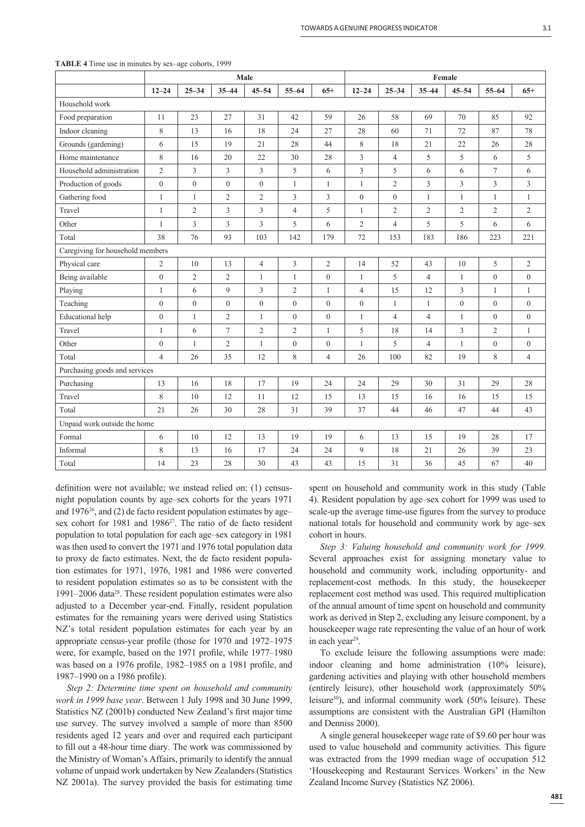|                                  | Male             |                  |                  |                  |                  |                  | Female           |                |                |                  |                |                  |
|----------------------------------|------------------|------------------|------------------|------------------|------------------|------------------|------------------|----------------|----------------|------------------|----------------|------------------|
|                                  | $12 - 24$        | $25 - 34$        | $35 - 44$        | $45 - 54$        | $55 - 64$        | $65+$            | $12 - 24$        | $25 - 34$      | $35 - 44$      | $45 - 54$        | $55 - 64$      | $65+$            |
| Household work                   |                  |                  |                  |                  |                  |                  |                  |                |                |                  |                |                  |
| Food preparation                 | 11               | 23               | 27               | 31               | 42               | 59               | 26               | 58             | 69             | 70               | 85             | 92               |
| Indoor cleaning                  | $\,$ 8 $\,$      | 13               | 16               | 18               | 24               | 27               | 28               | 60             | 71             | 72               | 87             | 78               |
| Grounds (gardening)              | 6                | 15               | 19               | 21               | 28               | 44               | 8                | 18             | 21             | 22               | 26             | 28               |
| Home maintenance                 | $\,$ 8 $\,$      | 16               | 20               | 22               | 30               | 28               | 3                | $\overline{4}$ | 5              | 5                | 6              | 5                |
| Household administration         | $\overline{2}$   | 3                | 3                | 3                | 5                | 6                | 3                | 5              | 6              | 6                | $\tau$         | 6                |
| Production of goods              | $\boldsymbol{0}$ | $\overline{0}$   | $\boldsymbol{0}$ | $\overline{0}$   | $\mathbf{1}$     | 1                | $\mathbf{1}$     | $\overline{2}$ | 3              | 3                | 3              | 3                |
| Gathering food                   | $\mathbf{1}$     | $\mathbf{1}$     | $\overline{2}$   | $\overline{2}$   | 3                | 3                | $\theta$         | $\overline{0}$ | $\mathbf{1}$   | $\mathbf{1}$     | $\mathbf{1}$   | $\mathbf{1}$     |
| Travel                           | $\mathbf{1}$     | $\overline{2}$   | 3                | 3                | $\overline{4}$   | 5                | $\mathbf{1}$     | $\overline{2}$ | $\mathfrak{2}$ | $\overline{2}$   | $\overline{c}$ | $\overline{2}$   |
| Other                            | $\mathbf{1}$     | 3                | 3                | 3                | 5                | 6                | $\overline{2}$   | $\overline{4}$ | 5              | 5                | 6              | 6                |
| Total                            | 38               | 76               | 93               | 103              | 142              | 179              | 72               | 153            | 183            | 186              | 223            | 221              |
| Caregiving for household members |                  |                  |                  |                  |                  |                  |                  |                |                |                  |                |                  |
| Physical care                    | 2                | 10               | 13               | $\overline{4}$   | 3                | 2                | 14               | 52             | 43             | 10               | 5              | 2                |
| Being available                  | $\mathbf{0}$     | $\overline{2}$   | $\overline{2}$   | $\mathbf{1}$     | $\mathbf{1}$     | $\overline{0}$   | $\mathbf{1}$     | 5              | $\overline{4}$ | $\mathbf{1}$     | $\overline{0}$ | $\overline{0}$   |
| Playing                          | $\mathbf{1}$     | 6                | 9                | 3                | $\overline{2}$   | 1                | $\overline{4}$   | 15             | 12             | 3                | 1              | $\mathbf{1}$     |
| Teaching                         | $\boldsymbol{0}$ | $\boldsymbol{0}$ | $\boldsymbol{0}$ | $\boldsymbol{0}$ | $\boldsymbol{0}$ | $\boldsymbol{0}$ | $\boldsymbol{0}$ | $\mathbf{1}$   | $\mathbf{1}$   | $\boldsymbol{0}$ | $\overline{0}$ | $\boldsymbol{0}$ |
| Educational help                 | $\boldsymbol{0}$ | $\mathbf{1}$     | $\overline{c}$   | $\mathbf{1}$     | $\mathbf{0}$     | $\overline{0}$   | $\mathbf{1}$     | $\overline{4}$ | $\overline{4}$ | 1                | $\overline{0}$ | $\boldsymbol{0}$ |
| Travel                           | $\mathbf{1}$     | 6                | $\tau$           | $\mathfrak{2}$   | $\overline{2}$   | 1                | 5                | 18             | 14             | 3                | $\overline{c}$ | $\mathbf{1}$     |
| Other                            | $\boldsymbol{0}$ | $\mathbf{1}$     | $\overline{c}$   | $\mathbf{1}$     | $\overline{0}$   | $\overline{0}$   | $\mathbf{1}$     | 5              | $\overline{4}$ | 1                | $\overline{0}$ | $\boldsymbol{0}$ |
| Total                            | $\overline{4}$   | 26               | 35               | 12               | 8                | $\overline{4}$   | 26               | 100            | 82             | 19               | 8              | $\overline{4}$   |
| Purchasing goods and services    |                  |                  |                  |                  |                  |                  |                  |                |                |                  |                |                  |
| Purchasing                       | 13               | 16               | 18               | 17               | 19               | 24               | 24               | 29             | 30             | 31               | 29             | 28               |
| Travel                           | 8                | 10               | 12               | 11               | 12               | 15               | 13               | 15             | 16             | 16               | 15             | 15               |
| Total                            | 21               | 26               | 30               | 28               | 31               | 39               | 37               | 44             | 46             | 47               | 44             | 43               |
| Unpaid work outside the home     |                  |                  |                  |                  |                  |                  |                  |                |                |                  |                |                  |
| Formal                           | 6                | 10               | 12               | 13               | 19               | 19               | 6                | 13             | 15             | 19               | 28             | 17               |
| Informal                         | 8                | 13               | 16               | 17               | 24               | 24               | 9                | 18             | 21             | 26               | 39             | 23               |
| Total                            | 14               | 23               | 28               | 30               | 43               | 43               | 15               | 31             | 36             | 45               | 67             | 40               |

## **TABLE 4** Time use in minutes by sex–age cohorts, 1999

definition were not available; we instead relied on: (1) censusnight population counts by age–sex cohorts for the years 1971 and  $1976^{26}$ , and (2) de facto resident population estimates by age– sex cohort for 1981 and 1986<sup>27</sup>. The ratio of de facto resident population to total population for each age–sex category in 1981 was then used to convert the 1971 and 1976 total population data to proxy de facto estimates. Next, the de facto resident population estimates for 1971, 1976, 1981 and 1986 were converted to resident population estimates so as to be consistent with the 1991–2006 data28. These resident population estimates were also adjusted to a December year-end. Finally, resident population estimates for the remaining years were derived using Statistics NZ's total resident population estimates for each year by an appropriate census-year profile (those for 1970 and 1972–1975 were, for example, based on the 1971 profile, while 1977–1980 was based on a 1976 profile, 1982–1985 on a 1981 profile, and 1987–1990 on a 1986 profile).

*Step 2: Determine time spent on household and community work in 1999 base year*. Between 1 July 1998 and 30 June 1999, Statistics NZ (2001b) conducted New Zealand's first major time use survey. The survey involved a sample of more than 8500 residents aged 12 years and over and required each participant to fill out a 48-hour time diary. The work was commissioned by the Ministry of Woman's Affairs, primarily to identify the annual volume of unpaid work undertaken by New Zealanders (Statistics NZ 2001a). The survey provided the basis for estimating time

spent on household and community work in this study (Table 4). Resident population by age–sex cohort for 1999 was used to scale-up the average time-use figures from the survey to produce national totals for household and community work by age–sex cohort in hours.

*Step 3: Valuing household and community work for 1999.* Several approaches exist for assigning monetary value to household and community work, including opportunity- and replacement-cost methods. In this study, the housekeeper replacement cost method was used. This required multiplication of the annual amount of time spent on household and community work as derived in Step 2, excluding any leisure component, by a housekeeper wage rate representing the value of an hour of work in each year<sup>29</sup>.

To exclude leisure the following assumptions were made: indoor cleaning and home administration (10% leisure), gardening activities and playing with other household members (entirely leisure), other household work (approximately 50% leisure30), and informal community work (50% leisure). These assumptions are consistent with the Australian GPI (Hamilton and Denniss 2000).

A single general housekeeper wage rate of \$9.60 per hour was used to value household and community activities. This figure was extracted from the 1999 median wage of occupation 512 'Housekeeping and Restaurant Services Workers' in the New Zealand Income Survey (Statistics NZ 2006).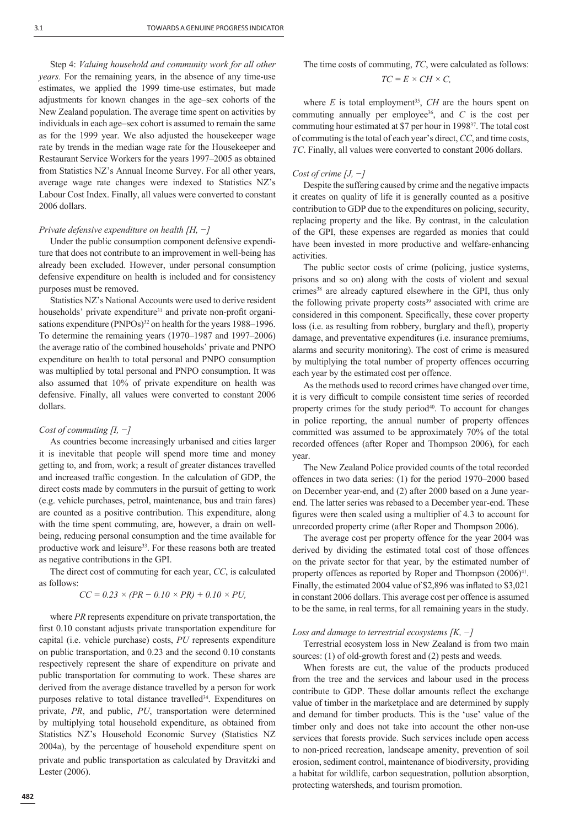Step 4: *Valuing household and community work for all other years.* For the remaining years, in the absence of any time-use estimates, we applied the 1999 time-use estimates, but made adjustments for known changes in the age–sex cohorts of the New Zealand population. The average time spent on activities by individuals in each age–sex cohort is assumed to remain the same as for the 1999 year. We also adjusted the housekeeper wage rate by trends in the median wage rate for the Housekeeper and Restaurant Service Workers for the years 1997–2005 as obtained from Statistics NZ's Annual Income Survey. For all other years, average wage rate changes were indexed to Statistics NZ's Labour Cost Index. Finally, all values were converted to constant 2006 dollars.

## *Private defensive expenditure on health [H, −]*

Under the public consumption component defensive expenditure that does not contribute to an improvement in well-being has already been excluded. However, under personal consumption defensive expenditure on health is included and for consistency purposes must be removed.

Statistics NZ's National Accounts were used to derive resident households' private expenditure<sup>31</sup> and private non-profit organisations expenditure (PNPOs)<sup>32</sup> on health for the years 1988–1996. To determine the remaining years (1970–1987 and 1997–2006) the average ratio of the combined households' private and PNPO expenditure on health to total personal and PNPO consumption was multiplied by total personal and PNPO consumption. It was also assumed that 10% of private expenditure on health was defensive. Finally, all values were converted to constant 2006 dollars.

## *Cost of commuting [I, −]*

As countries become increasingly urbanised and cities larger it is inevitable that people will spend more time and money getting to, and from, work; a result of greater distances travelled and increased traffic congestion. In the calculation of GDP, the direct costs made by commuters in the pursuit of getting to work (e.g. vehicle purchases, petrol, maintenance, bus and train fares) are counted as a positive contribution. This expenditure, along with the time spent commuting, are, however, a drain on wellbeing, reducing personal consumption and the time available for productive work and leisure<sup>33</sup>. For these reasons both are treated as negative contributions in the GPI.

The direct cost of commuting for each year, *CC*, is calculated as follows:

$$
CC = 0.23 \times (PR - 0.10 \times PR) + 0.10 \times PU,
$$

where *PR* represents expenditure on private transportation, the first 0.10 constant adjusts private transportation expenditure for capital (i.e. vehicle purchase) costs, *PU* represents expenditure on public transportation, and 0.23 and the second 0.10 constants respectively represent the share of expenditure on private and public transportation for commuting to work. These shares are derived from the average distance travelled by a person for work purposes relative to total distance travelled<sup>34</sup>. Expenditures on private, *PR*, and public, *PU*, transportation were determined by multiplying total household expenditure, as obtained from Statistics NZ's Household Economic Survey (Statistics NZ 2004a), by the percentage of household expenditure spent on private and public transportation as calculated by Dravitzki and Lester (2006).

The time costs of commuting, *TC*, were calculated as follows:  

$$
TC = E \times CH \times C,
$$

where  $E$  is total employment<sup>35</sup>,  $CH$  are the hours spent on commuting annually per employee<sup>36</sup>, and  $C$  is the cost per commuting hour estimated at \$7 per hour in 199837. The total cost of commuting is the total of each year's direct, *CC*, and time costs, *TC*. Finally, all values were converted to constant 2006 dollars.

#### *Cost of crime [J, −]*

Despite the suffering caused by crime and the negative impacts it creates on quality of life it is generally counted as a positive contribution to GDP due to the expenditures on policing, security, replacing property and the like. By contrast, in the calculation of the GPI, these expenses are regarded as monies that could have been invested in more productive and welfare-enhancing activities.

The public sector costs of crime (policing, justice systems, prisons and so on) along with the costs of violent and sexual crimes<sup>38</sup> are already captured elsewhere in the GPI, thus only the following private property costs<sup>39</sup> associated with crime are considered in this component. Specifically, these cover property loss (i.e. as resulting from robbery, burglary and theft), property damage, and preventative expenditures (i.e. insurance premiums, alarms and security monitoring). The cost of crime is measured by multiplying the total number of property offences occurring each year by the estimated cost per offence.

As the methods used to record crimes have changed over time, it is very difficult to compile consistent time series of recorded property crimes for the study period<sup>40</sup>. To account for changes in police reporting, the annual number of property offences committed was assumed to be approximately 70% of the total recorded offences (after Roper and Thompson 2006), for each year.

The New Zealand Police provided counts of the total recorded offences in two data series: (1) for the period 1970–2000 based on December year-end, and (2) after 2000 based on a June yearend. The latter series was rebased to a December year-end. These figures were then scaled using a multiplier of 4.3 to account for unrecorded property crime (after Roper and Thompson 2006).

The average cost per property offence for the year 2004 was derived by dividing the estimated total cost of those offences on the private sector for that year, by the estimated number of property offences as reported by Roper and Thompson  $(2006)^{41}$ . Finally, the estimated 2004 value of \$2,896 was inflated to \$3,021 in constant 2006 dollars. This average cost per offence is assumed to be the same, in real terms, for all remaining years in the study.

#### *Loss and damage to terrestrial ecosystems [K, −]*

Terrestrial ecosystem loss in New Zealand is from two main sources: (1) of old-growth forest and (2) pests and weeds.

When forests are cut, the value of the products produced from the tree and the services and labour used in the process contribute to GDP. These dollar amounts reflect the exchange value of timber in the marketplace and are determined by supply and demand for timber products. This is the 'use' value of the timber only and does not take into account the other non-use services that forests provide. Such services include open access to non-priced recreation, landscape amenity, prevention of soil erosion, sediment control, maintenance of biodiversity, providing a habitat for wildlife, carbon sequestration, pollution absorption, protecting watersheds, and tourism promotion.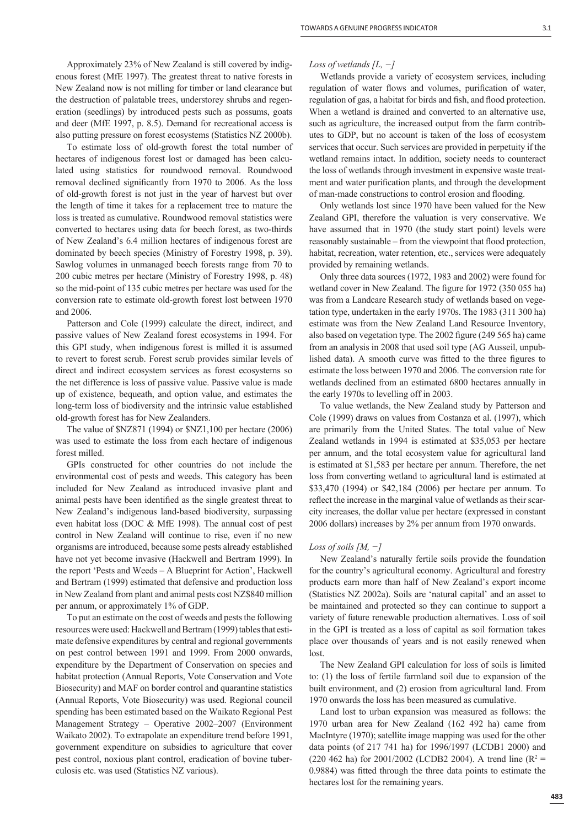Approximately 23% of New Zealand is still covered by indigenous forest (MfE 1997). The greatest threat to native forests in New Zealand now is not milling for timber or land clearance but the destruction of palatable trees, understorey shrubs and regeneration (seedlings) by introduced pests such as possums, goats and deer (MfE 1997, p. 8.5). Demand for recreational access is also putting pressure on forest ecosystems (Statistics NZ 2000b).

To estimate loss of old-growth forest the total number of hectares of indigenous forest lost or damaged has been calculated using statistics for roundwood removal. Roundwood removal declined significantly from 1970 to 2006. As the loss of old-growth forest is not just in the year of harvest but over the length of time it takes for a replacement tree to mature the loss is treated as cumulative. Roundwood removal statistics were converted to hectares using data for beech forest, as two-thirds of New Zealand's 6.4 million hectares of indigenous forest are dominated by beech species (Ministry of Forestry 1998, p. 39). Sawlog volumes in unmanaged beech forests range from 70 to 200 cubic metres per hectare (Ministry of Forestry 1998, p. 48) so the mid-point of 135 cubic metres per hectare was used for the conversion rate to estimate old-growth forest lost between 1970 and 2006.

Patterson and Cole (1999) calculate the direct, indirect, and passive values of New Zealand forest ecosystems in 1994. For this GPI study, when indigenous forest is milled it is assumed to revert to forest scrub. Forest scrub provides similar levels of direct and indirect ecosystem services as forest ecosystems so the net difference is loss of passive value. Passive value is made up of existence, bequeath, and option value, and estimates the long-term loss of biodiversity and the intrinsic value established old-growth forest has for New Zealanders.

The value of \$NZ871 (1994) or \$NZ1,100 per hectare (2006) was used to estimate the loss from each hectare of indigenous forest milled.

GPIs constructed for other countries do not include the environmental cost of pests and weeds. This category has been included for New Zealand as introduced invasive plant and animal pests have been identified as the single greatest threat to New Zealand's indigenous land-based biodiversity, surpassing even habitat loss (DOC & MfE 1998). The annual cost of pest control in New Zealand will continue to rise, even if no new organisms are introduced, because some pests already established have not yet become invasive (Hackwell and Bertram 1999). In the report 'Pests and Weeds – A Blueprint for Action', Hackwell and Bertram (1999) estimated that defensive and production loss in New Zealand from plant and animal pests cost NZ\$840 million per annum, or approximately 1% of GDP.

To put an estimate on the cost of weeds and pests the following resources were used: Hackwell and Bertram (1999) tables that estimate defensive expenditures by central and regional governments on pest control between 1991 and 1999. From 2000 onwards, expenditure by the Department of Conservation on species and habitat protection (Annual Reports, Vote Conservation and Vote Biosecurity) and MAF on border control and quarantine statistics (Annual Reports, Vote Biosecurity) was used. Regional council spending has been estimated based on the Waikato Regional Pest Management Strategy – Operative 2002–2007 (Environment Waikato 2002). To extrapolate an expenditure trend before 1991, government expenditure on subsidies to agriculture that cover pest control, noxious plant control, eradication of bovine tuberculosis etc. was used (Statistics NZ various).

## *Loss of wetlands [L, −]*

Wetlands provide a variety of ecosystem services, including regulation of water flows and volumes, purification of water, regulation of gas, a habitat for birds and fish, and flood protection. When a wetland is drained and converted to an alternative use, such as agriculture, the increased output from the farm contributes to GDP, but no account is taken of the loss of ecosystem services that occur. Such services are provided in perpetuity if the wetland remains intact. In addition, society needs to counteract the loss of wetlands through investment in expensive waste treatment and water purification plants, and through the development of man-made constructions to control erosion and flooding.

Only wetlands lost since 1970 have been valued for the New Zealand GPI, therefore the valuation is very conservative. We have assumed that in 1970 (the study start point) levels were reasonably sustainable – from the viewpoint that flood protection, habitat, recreation, water retention, etc., services were adequately provided by remaining wetlands.

Only three data sources (1972, 1983 and 2002) were found for wetland cover in New Zealand. The figure for 1972 (350 055 ha) was from a Landcare Research study of wetlands based on vegetation type, undertaken in the early 1970s. The 1983 (311 300 ha) estimate was from the New Zealand Land Resource Inventory, also based on vegetation type. The 2002 figure (249 565 ha) came from an analysis in 2008 that used soil type (AG Ausseil, unpublished data). A smooth curve was fitted to the three figures to estimate the loss between 1970 and 2006. The conversion rate for wetlands declined from an estimated 6800 hectares annually in the early 1970s to levelling off in 2003.

To value wetlands, the New Zealand study by Patterson and Cole (1999) draws on values from Costanza et al. (1997), which are primarily from the United States. The total value of New Zealand wetlands in 1994 is estimated at \$35,053 per hectare per annum, and the total ecosystem value for agricultural land is estimated at \$1,583 per hectare per annum. Therefore, the net loss from converting wetland to agricultural land is estimated at \$33,470 (1994) or \$42,184 (2006) per hectare per annum. To reflect the increase in the marginal value of wetlands as their scarcity increases, the dollar value per hectare (expressed in constant 2006 dollars) increases by 2% per annum from 1970 onwards.

## *Loss of soils [M, −]*

New Zealand's naturally fertile soils provide the foundation for the country's agricultural economy. Agricultural and forestry products earn more than half of New Zealand's export income (Statistics NZ 2002a). Soils are 'natural capital' and an asset to be maintained and protected so they can continue to support a variety of future renewable production alternatives. Loss of soil in the GPI is treated as a loss of capital as soil formation takes place over thousands of years and is not easily renewed when lost.

The New Zealand GPI calculation for loss of soils is limited to: (1) the loss of fertile farmland soil due to expansion of the built environment, and (2) erosion from agricultural land. From 1970 onwards the loss has been measured as cumulative.

Land lost to urban expansion was measured as follows: the 1970 urban area for New Zealand (162 492 ha) came from MacIntyre (1970); satellite image mapping was used for the other data points (of 217 741 ha) for 1996/1997 (LCDB1 2000) and  $(220 462$  ha) for 2001/2002 (LCDB2 2004). A trend line (R<sup>2</sup> = 0.9884) was fitted through the three data points to estimate the hectares lost for the remaining years.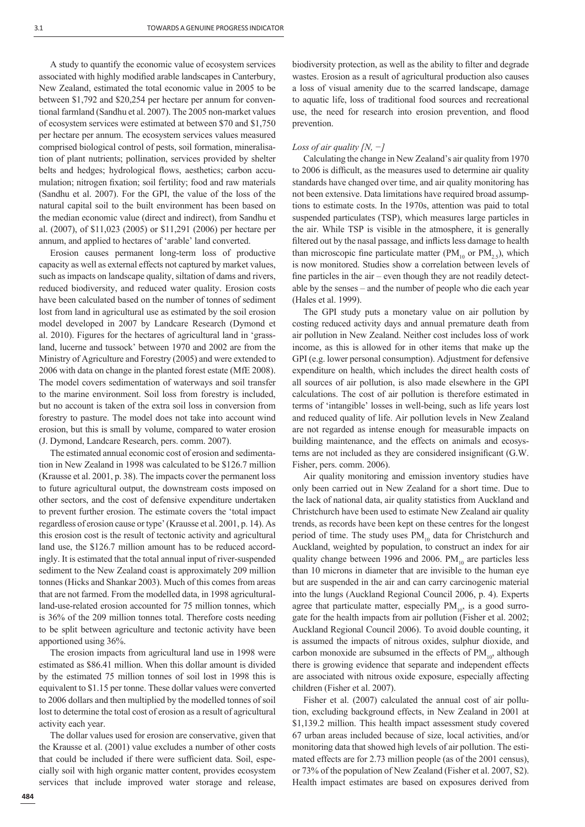A study to quantify the economic value of ecosystem services associated with highly modified arable landscapes in Canterbury, New Zealand, estimated the total economic value in 2005 to be between \$1,792 and \$20,254 per hectare per annum for conventional farmland (Sandhu et al. 2007). The 2005 non-market values of ecosystem services were estimated at between \$70 and \$1,750 per hectare per annum. The ecosystem services values measured comprised biological control of pests, soil formation, mineralisation of plant nutrients; pollination, services provided by shelter belts and hedges; hydrological flows, aesthetics; carbon accumulation; nitrogen fixation; soil fertility; food and raw materials (Sandhu et al. 2007). For the GPI, the value of the loss of the natural capital soil to the built environment has been based on the median economic value (direct and indirect), from Sandhu et al. (2007), of \$11,023 (2005) or \$11,291 (2006) per hectare per annum, and applied to hectares of 'arable' land converted.

Erosion causes permanent long-term loss of productive capacity as well as external effects not captured by market values, such as impacts on landscape quality, siltation of dams and rivers, reduced biodiversity, and reduced water quality. Erosion costs have been calculated based on the number of tonnes of sediment lost from land in agricultural use as estimated by the soil erosion model developed in 2007 by Landcare Research (Dymond et al. 2010). Figures for the hectares of agricultural land in 'grassland, lucerne and tussock' between 1970 and 2002 are from the Ministry of Agriculture and Forestry (2005) and were extended to 2006 with data on change in the planted forest estate (MfE 2008). The model covers sedimentation of waterways and soil transfer to the marine environment. Soil loss from forestry is included, but no account is taken of the extra soil loss in conversion from forestry to pasture. The model does not take into account wind erosion, but this is small by volume, compared to water erosion (J. Dymond, Landcare Research, pers. comm. 2007).

The estimated annual economic cost of erosion and sedimentation in New Zealand in 1998 was calculated to be \$126.7 million (Krausse et al. 2001, p. 38). The impacts cover the permanent loss to future agricultural output, the downstream costs imposed on other sectors, and the cost of defensive expenditure undertaken to prevent further erosion. The estimate covers the 'total impact regardless of erosion cause or type' (Krausse et al. 2001, p. 14). As this erosion cost is the result of tectonic activity and agricultural land use, the \$126.7 million amount has to be reduced accordingly. It is estimated that the total annual input of river-suspended sediment to the New Zealand coast is approximately 209 million tonnes (Hicks and Shankar 2003). Much of this comes from areas that are not farmed. From the modelled data, in 1998 agriculturalland-use-related erosion accounted for 75 million tonnes, which is 36% of the 209 million tonnes total. Therefore costs needing to be split between agriculture and tectonic activity have been apportioned using 36%.

The erosion impacts from agricultural land use in 1998 were estimated as \$86.41 million. When this dollar amount is divided by the estimated 75 million tonnes of soil lost in 1998 this is equivalent to \$1.15 per tonne. These dollar values were converted to 2006 dollars and then multiplied by the modelled tonnes of soil lost to determine the total cost of erosion as a result of agricultural activity each year.

The dollar values used for erosion are conservative, given that the Krausse et al. (2001) value excludes a number of other costs that could be included if there were sufficient data. Soil, especially soil with high organic matter content, provides ecosystem services that include improved water storage and release,

biodiversity protection, as well as the ability to filter and degrade wastes. Erosion as a result of agricultural production also causes a loss of visual amenity due to the scarred landscape, damage to aquatic life, loss of traditional food sources and recreational use, the need for research into erosion prevention, and flood prevention.

## *Loss of air quality [N, −]*

Calculating the change in New Zealand's air quality from 1970 to 2006 is difficult, as the measures used to determine air quality standards have changed over time, and air quality monitoring has not been extensive. Data limitations have required broad assumptions to estimate costs. In the 1970s, attention was paid to total suspended particulates (TSP), which measures large particles in the air. While TSP is visible in the atmosphere, it is generally filtered out by the nasal passage, and inflicts less damage to health than microscopic fine particulate matter ( $\text{PM}_{10}$  or  $\text{PM}_{2.5}$ ), which is now monitored. Studies show a correlation between levels of fine particles in the air – even though they are not readily detectable by the senses – and the number of people who die each year (Hales et al. 1999).

The GPI study puts a monetary value on air pollution by costing reduced activity days and annual premature death from air pollution in New Zealand. Neither cost includes loss of work income, as this is allowed for in other items that make up the GPI (e.g. lower personal consumption). Adjustment for defensive expenditure on health, which includes the direct health costs of all sources of air pollution, is also made elsewhere in the GPI calculations. The cost of air pollution is therefore estimated in terms of 'intangible' losses in well-being, such as life years lost and reduced quality of life. Air pollution levels in New Zealand are not regarded as intense enough for measurable impacts on building maintenance, and the effects on animals and ecosystems are not included as they are considered insignificant (G.W. Fisher, pers. comm. 2006).

Air quality monitoring and emission inventory studies have only been carried out in New Zealand for a short time. Due to the lack of national data, air quality statistics from Auckland and Christchurch have been used to estimate New Zealand air quality trends, as records have been kept on these centres for the longest period of time. The study uses  $PM_{10}$  data for Christchurch and Auckland, weighted by population, to construct an index for air quality change between 1996 and 2006.  $PM_{10}$  are particles less than 10 microns in diameter that are invisible to the human eye but are suspended in the air and can carry carcinogenic material into the lungs (Auckland Regional Council 2006, p. 4). Experts agree that particulate matter, especially  $PM_{10}$ , is a good surrogate for the health impacts from air pollution (Fisher et al. 2002; Auckland Regional Council 2006). To avoid double counting, it is assumed the impacts of nitrous oxides, sulphur dioxide, and carbon monoxide are subsumed in the effects of  $PM_{10}$ , although there is growing evidence that separate and independent effects are associated with nitrous oxide exposure, especially affecting children (Fisher et al. 2007).

Fisher et al. (2007) calculated the annual cost of air pollution, excluding background effects, in New Zealand in 2001 at \$1,139.2 million. This health impact assessment study covered 67 urban areas included because of size, local activities, and/or monitoring data that showed high levels of air pollution. The estimated effects are for 2.73 million people (as of the 2001 census), or 73% of the population of New Zealand (Fisher et al. 2007, S2). Health impact estimates are based on exposures derived from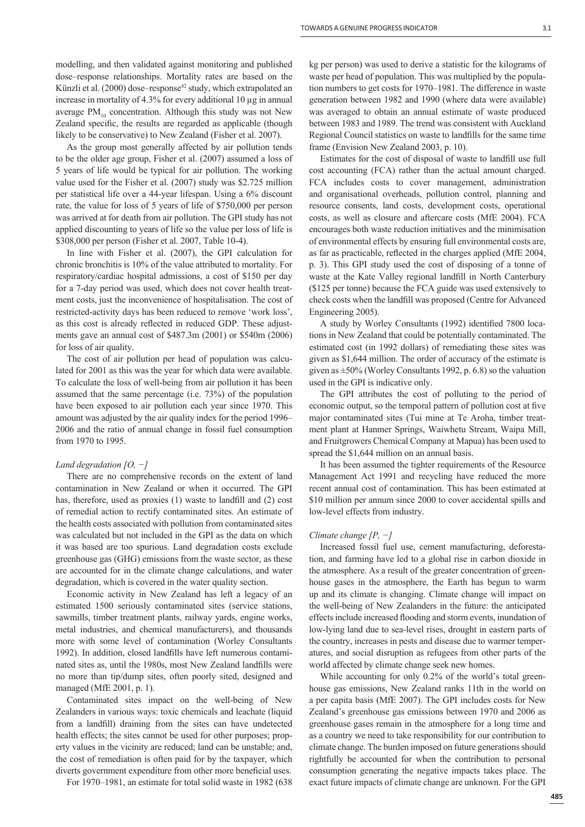modelling, and then validated against monitoring and published dose–response relationships. Mortality rates are based on the Künzli et al.  $(2000)$  dose–response<sup>42</sup> study, which extrapolated an increase in mortality of 4.3% for every additional 10 μg in annual average  $PM_{10}$  concentration. Although this study was not New Zealand specific, the results are regarded as applicable (though likely to be conservative) to New Zealand (Fisher et al. 2007).

As the group most generally affected by air pollution tends to be the older age group, Fisher et al. (2007) assumed a loss of 5 years of life would be typical for air pollution. The working value used for the Fisher et al. (2007) study was \$2.725 million per statistical life over a 44-year lifespan. Using a 6% discount rate, the value for loss of 5 years of life of \$750,000 per person was arrived at for death from air pollution. The GPI study has not applied discounting to years of life so the value per loss of life is \$308,000 per person (Fisher et al. 2007, Table 10-4).

In line with Fisher et al. (2007), the GPI calculation for chronic bronchitis is 10% of the value attributed to mortality. For respiratory/cardiac hospital admissions, a cost of \$150 per day for a 7-day period was used, which does not cover health treatment costs, just the inconvenience of hospitalisation. The cost of restricted-activity days has been reduced to remove 'work loss', as this cost is already reflected in reduced GDP. These adjustments gave an annual cost of \$487.3m (2001) or \$540m (2006) for loss of air quality.

The cost of air pollution per head of population was calculated for 2001 as this was the year for which data were available. To calculate the loss of well-being from air pollution it has been assumed that the same percentage (i.e. 73%) of the population have been exposed to air pollution each year since 1970. This amount was adjusted by the air quality index for the period 1996– 2006 and the ratio of annual change in fossil fuel consumption from 1970 to 1995.

## *Land degradation [O, −]*

There are no comprehensive records on the extent of land contamination in New Zealand or when it occurred. The GPI has, therefore, used as proxies  $(1)$  waste to landfill and  $(2)$  cost of remedial action to rectify contaminated sites. An estimate of the health costs associated with pollution from contaminated sites was calculated but not included in the GPI as the data on which it was based are too spurious. Land degradation costs exclude greenhouse gas (GHG) emissions from the waste sector, as these are accounted for in the climate change calculations, and water degradation, which is covered in the water quality section.

Economic activity in New Zealand has left a legacy of an estimated 1500 seriously contaminated sites (service stations, sawmills, timber treatment plants, railway yards, engine works, metal industries, and chemical manufacturers), and thousands more with some level of contamination (Worley Consultants 1992). In addition, closed landfills have left numerous contaminated sites as, until the 1980s, most New Zealand landfills were no more than tip/dump sites, often poorly sited, designed and managed (MfE 2001, p. 1).

Contaminated sites impact on the well-being of New Zealanders in various ways: toxic chemicals and leachate (liquid from a landfill) draining from the sites can have undetected health effects; the sites cannot be used for other purposes; property values in the vicinity are reduced; land can be unstable; and, the cost of remediation is often paid for by the taxpayer, which diverts government expenditure from other more beneficial uses.

For 1970–1981, an estimate for total solid waste in 1982 (638

kg per person) was used to derive a statistic for the kilograms of waste per head of population. This was multiplied by the population numbers to get costs for 1970–1981. The difference in waste generation between 1982 and 1990 (where data were available) was averaged to obtain an annual estimate of waste produced between 1983 and 1989. The trend was consistent with Auckland Regional Council statistics on waste to landfills for the same time frame (Envision New Zealand 2003, p. 10).

Estimates for the cost of disposal of waste to landfill use full cost accounting (FCA) rather than the actual amount charged. FCA includes costs to cover management, administration and organisational overheads, pollution control, planning and resource consents, land costs, development costs, operational costs, as well as closure and aftercare costs (MfE 2004). FCA encourages both waste reduction initiatives and the minimisation of environmental effects by ensuring full environmental costs are, as far as practicable, reflected in the charges applied (MfE 2004, p. 3). This GPI study used the cost of disposing of a tonne of waste at the Kate Valley regional landfill in North Canterbury (\$125 per tonne) because the FCA guide was used extensively to check costs when the landfill was proposed (Centre for Advanced Engineering 2005).

A study by Worley Consultants (1992) identified 7800 locations in New Zealand that could be potentially contaminated. The estimated cost (in 1992 dollars) of remediating these sites was given as \$1,644 million. The order of accuracy of the estimate is given as ±50% (Worley Consultants 1992, p. 6.8) so the valuation used in the GPI is indicative only.

The GPI attributes the cost of polluting to the period of economic output, so the temporal pattern of pollution cost at five major contaminated sites (Tui mine at Te Aroha, timber treatment plant at Hanmer Springs, Waiwhetu Stream, Waipa Mill, and Fruitgrowers Chemical Company at Mapua) has been used to spread the \$1,644 million on an annual basis.

It has been assumed the tighter requirements of the Resource Management Act 1991 and recycling have reduced the more recent annual cost of contamination. This has been estimated at \$10 million per annum since 2000 to cover accidental spills and low-level effects from industry.

## *Climate change [P, −]*

Increased fossil fuel use, cement manufacturing, deforestation, and farming have led to a global rise in carbon dioxide in the atmosphere. As a result of the greater concentration of greenhouse gases in the atmosphere, the Earth has begun to warm up and its climate is changing. Climate change will impact on the well-being of New Zealanders in the future: the anticipated effects include increased flooding and storm events, inundation of low-lying land due to sea-level rises, drought in eastern parts of the country, increases in pests and disease due to warmer temperatures, and social disruption as refugees from other parts of the world affected by climate change seek new homes.

While accounting for only 0.2% of the world's total greenhouse gas emissions, New Zealand ranks 11th in the world on a per capita basis (MfE 2007). The GPI includes costs for New Zealand's greenhouse gas emissions between 1970 and 2006 as greenhouse gases remain in the atmosphere for a long time and as a country we need to take responsibility for our contribution to climate change. The burden imposed on future generations should rightfully be accounted for when the contribution to personal consumption generating the negative impacts takes place. The exact future impacts of climate change are unknown. For the GPI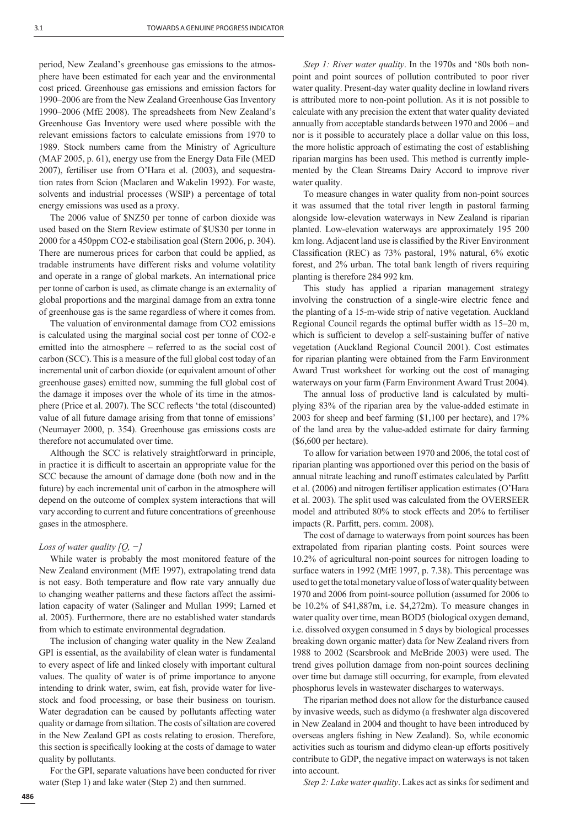period, New Zealand's greenhouse gas emissions to the atmosphere have been estimated for each year and the environmental cost priced. Greenhouse gas emissions and emission factors for 1990–2006 are from the New Zealand Greenhouse Gas Inventory 1990–2006 (MfE 2008). The spreadsheets from New Zealand's Greenhouse Gas Inventory were used where possible with the relevant emissions factors to calculate emissions from 1970 to 1989. Stock numbers came from the Ministry of Agriculture (MAF 2005, p. 61), energy use from the Energy Data File (MED 2007), fertiliser use from O'Hara et al. (2003), and sequestration rates from Scion (Maclaren and Wakelin 1992). For waste, solvents and industrial processes (WSIP) a percentage of total energy emissions was used as a proxy.

The 2006 value of \$NZ50 per tonne of carbon dioxide was used based on the Stern Review estimate of \$US30 per tonne in 2000 for a 450ppm CO2-e stabilisation goal (Stern 2006, p. 304). There are numerous prices for carbon that could be applied, as tradable instruments have different risks and volume volatility and operate in a range of global markets. An international price per tonne of carbon is used, as climate change is an externality of global proportions and the marginal damage from an extra tonne of greenhouse gas is the same regardless of where it comes from.

The valuation of environmental damage from CO2 emissions is calculated using the marginal social cost per tonne of CO2-e emitted into the atmosphere – referred to as the social cost of carbon (SCC). This is a measure of the full global cost today of an incremental unit of carbon dioxide (or equivalent amount of other greenhouse gases) emitted now, summing the full global cost of the damage it imposes over the whole of its time in the atmosphere (Price et al. 2007). The SCC reflects 'the total (discounted) value of all future damage arising from that tonne of emissions' (Neumayer 2000, p. 354). Greenhouse gas emissions costs are therefore not accumulated over time.

Although the SCC is relatively straightforward in principle, in practice it is difficult to ascertain an appropriate value for the SCC because the amount of damage done (both now and in the future) by each incremental unit of carbon in the atmosphere will depend on the outcome of complex system interactions that will vary according to current and future concentrations of greenhouse gases in the atmosphere.

## *Loss of water quality [Q, −]*

While water is probably the most monitored feature of the New Zealand environment (MfE 1997), extrapolating trend data is not easy. Both temperature and flow rate vary annually due to changing weather patterns and these factors affect the assimilation capacity of water (Salinger and Mullan 1999; Larned et al. 2005). Furthermore, there are no established water standards from which to estimate environmental degradation.

The inclusion of changing water quality in the New Zealand GPI is essential, as the availability of clean water is fundamental to every aspect of life and linked closely with important cultural values. The quality of water is of prime importance to anyone intending to drink water, swim, eat fish, provide water for livestock and food processing, or base their business on tourism. Water degradation can be caused by pollutants affecting water quality or damage from siltation. The costs of siltation are covered in the New Zealand GPI as costs relating to erosion. Therefore, this section is specifically looking at the costs of damage to water quality by pollutants.

For the GPI, separate valuations have been conducted for river water (Step 1) and lake water (Step 2) and then summed.

*Step 1: River water quality*. In the 1970s and '80s both nonpoint and point sources of pollution contributed to poor river water quality. Present-day water quality decline in lowland rivers is attributed more to non-point pollution. As it is not possible to calculate with any precision the extent that water quality deviated annually from acceptable standards between 1970 and 2006 – and nor is it possible to accurately place a dollar value on this loss, the more holistic approach of estimating the cost of establishing riparian margins has been used. This method is currently implemented by the Clean Streams Dairy Accord to improve river water quality.

To measure changes in water quality from non-point sources it was assumed that the total river length in pastoral farming alongside low-elevation waterways in New Zealand is riparian planted. Low-elevation waterways are approximately 195 200 km long. Adjacent land use is classified by the River Environment Classification (REC) as 73% pastoral, 19% natural, 6% exotic forest, and 2% urban. The total bank length of rivers requiring planting is therefore 284 992 km.

This study has applied a riparian management strategy involving the construction of a single-wire electric fence and the planting of a 15-m-wide strip of native vegetation. Auckland Regional Council regards the optimal buffer width as 15–20 m, which is sufficient to develop a self-sustaining buffer of native vegetation (Auckland Regional Council 2001). Cost estimates for riparian planting were obtained from the Farm Environment Award Trust worksheet for working out the cost of managing waterways on your farm (Farm Environment Award Trust 2004).

The annual loss of productive land is calculated by multiplying 83% of the riparian area by the value-added estimate in 2003 for sheep and beef farming (\$1,100 per hectare), and 17% of the land area by the value-added estimate for dairy farming (\$6,600 per hectare).

To allow for variation between 1970 and 2006, the total cost of riparian planting was apportioned over this period on the basis of annual nitrate leaching and runoff estimates calculated by Parfitt et al. (2006) and nitrogen fertiliser application estimates (O'Hara et al. 2003). The split used was calculated from the OVERSEER model and attributed 80% to stock effects and 20% to fertiliser impacts (R. Parfitt, pers. comm. 2008).

The cost of damage to waterways from point sources has been extrapolated from riparian planting costs. Point sources were 10.2% of agricultural non-point sources for nitrogen loading to surface waters in 1992 (MfE 1997, p. 7.38). This percentage was used to get the total monetary value of loss of water quality between 1970 and 2006 from point-source pollution (assumed for 2006 to be 10.2% of \$41,887m, i.e. \$4,272m). To measure changes in water quality over time, mean BOD5 (biological oxygen demand, i.e. dissolved oxygen consumed in 5 days by biological processes breaking down organic matter) data for New Zealand rivers from 1988 to 2002 (Scarsbrook and McBride 2003) were used. The trend gives pollution damage from non-point sources declining over time but damage still occurring, for example, from elevated phosphorus levels in wastewater discharges to waterways.

The riparian method does not allow for the disturbance caused by invasive weeds, such as didymo (a freshwater alga discovered in New Zealand in 2004 and thought to have been introduced by overseas anglers fishing in New Zealand). So, while economic activities such as tourism and didymo clean-up efforts positively contribute to GDP, the negative impact on waterways is not taken into account.

*Step 2: Lake water quality*. Lakes act as sinks for sediment and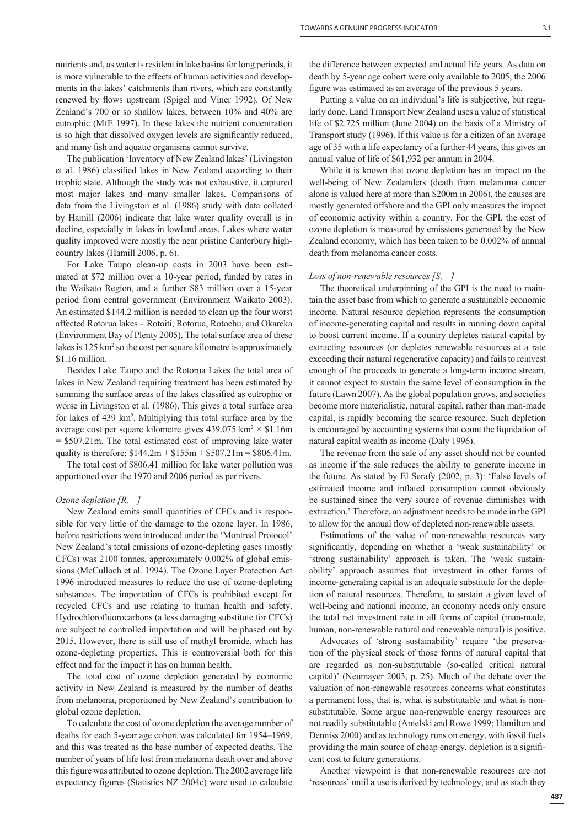nutrients and, as water is resident in lake basins for long periods, it is more vulnerable to the effects of human activities and developments in the lakes' catchments than rivers, which are constantly renewed by flows upstream (Spigel and Viner 1992). Of New Zealand's 700 or so shallow lakes, between 10% and 40% are eutrophic (MfE 1997). In these lakes the nutrient concentration is so high that dissolved oxygen levels are significantly reduced, and many fish and aquatic organisms cannot survive.

The publication 'Inventory of New Zealand lakes' (Livingston et al. 1986) classified lakes in New Zealand according to their trophic state. Although the study was not exhaustive, it captured most major lakes and many smaller lakes. Comparisons of data from the Livingston et al. (1986) study with data collated by Hamill (2006) indicate that lake water quality overall is in decline, especially in lakes in lowland areas. Lakes where water quality improved were mostly the near pristine Canterbury highcountry lakes (Hamill 2006, p. 6).

For Lake Taupo clean-up costs in 2003 have been estimated at \$72 million over a 10-year period, funded by rates in the Waikato Region, and a further \$83 million over a 15-year period from central government (Environment Waikato 2003). An estimated \$144.2 million is needed to clean up the four worst affected Rotorua lakes – Rotoiti, Rotorua, Rotoehu, and Okareka (Environment Bay of Plenty 2005). The total surface area of these lakes is 125 km<sup>2</sup> so the cost per square kilometre is approximately \$1.16 million.

Besides Lake Taupo and the Rotorua Lakes the total area of lakes in New Zealand requiring treatment has been estimated by summing the surface areas of the lakes classified as eutrophic or worse in Livingston et al. (1986). This gives a total surface area for lakes of 439 km<sup>2</sup>. Multiplying this total surface area by the average cost per square kilometre gives  $439.075 \text{ km}^2 \times $1.16 \text{m}$ = \$507.21m. The total estimated cost of improving lake water quality is therefore:  $$144.2m + $155m + $507.21m = $806.41m$ .

The total cost of \$806.41 million for lake water pollution was apportioned over the 1970 and 2006 period as per rivers.

#### *Ozone depletion [R, −]*

New Zealand emits small quantities of CFCs and is responsible for very little of the damage to the ozone layer. In 1986, before restrictions were introduced under the 'Montreal Protocol' New Zealand's total emissions of ozone-depleting gases (mostly CFCs) was 2100 tonnes, approximately 0.002% of global emissions (McCulloch et al. 1994). The Ozone Layer Protection Act 1996 introduced measures to reduce the use of ozone-depleting substances. The importation of CFCs is prohibited except for recycled CFCs and use relating to human health and safety. Hydrochlorofluorocarbons (a less damaging substitute for CFCs) are subject to controlled importation and will be phased out by 2015. However, there is still use of methyl bromide, which has ozone-depleting properties. This is controversial both for this effect and for the impact it has on human health.

The total cost of ozone depletion generated by economic activity in New Zealand is measured by the number of deaths from melanoma, proportioned by New Zealand's contribution to global ozone depletion.

To calculate the cost of ozone depletion the average number of deaths for each 5-year age cohort was calculated for 1954–1969, and this was treated as the base number of expected deaths. The number of years of life lost from melanoma death over and above this figure was attributed to ozone depletion. The 2002 average life expectancy figures (Statistics NZ 2004c) were used to calculate

the difference between expected and actual life years. As data on death by 5-year age cohort were only available to 2005, the 2006 figure was estimated as an average of the previous 5 years.

Putting a value on an individual's life is subjective, but regularly done. Land Transport New Zealand uses a value of statistical life of \$2.725 million (June 2004) on the basis of a Ministry of Transport study (1996). If this value is for a citizen of an average age of 35 with a life expectancy of a further 44 years, this gives an annual value of life of \$61,932 per annum in 2004.

While it is known that ozone depletion has an impact on the well-being of New Zealanders (death from melanoma cancer alone is valued here at more than \$200m in 2006), the causes are mostly generated offshore and the GPI only measures the impact of economic activity within a country. For the GPI, the cost of ozone depletion is measured by emissions generated by the New Zealand economy, which has been taken to be 0.002% of annual death from melanoma cancer costs.

## *Loss of non-renewable resources [S, −]*

The theoretical underpinning of the GPI is the need to maintain the asset base from which to generate a sustainable economic income. Natural resource depletion represents the consumption of income-generating capital and results in running down capital to boost current income. If a country depletes natural capital by extracting resources (or depletes renewable resources at a rate exceeding their natural regenerative capacity) and fails to reinvest enough of the proceeds to generate a long-term income stream, it cannot expect to sustain the same level of consumption in the future (Lawn 2007). As the global population grows, and societies become more materialistic, natural capital, rather than man-made capital, is rapidly becoming the scarce resource. Such depletion is encouraged by accounting systems that count the liquidation of natural capital wealth as income (Daly 1996).

The revenue from the sale of any asset should not be counted as income if the sale reduces the ability to generate income in the future. As stated by El Serafy (2002, p. 3): 'False levels of estimated income and inflated consumption cannot obviously be sustained since the very source of revenue diminishes with extraction.' Therefore, an adjustment needs to be made in the GPI to allow for the annual flow of depleted non-renewable assets.

Estimations of the value of non-renewable resources vary significantly, depending on whether a 'weak sustainability' or 'strong sustainability' approach is taken. The 'weak sustainability' approach assumes that investment in other forms of income-generating capital is an adequate substitute for the depletion of natural resources. Therefore, to sustain a given level of well-being and national income, an economy needs only ensure the total net investment rate in all forms of capital (man-made, human, non-renewable natural and renewable natural) is positive.

Advocates of 'strong sustainability' require 'the preservation of the physical stock of those forms of natural capital that are regarded as non-substitutable (so-called critical natural capital)' (Neumayer 2003, p. 25). Much of the debate over the valuation of non-renewable resources concerns what constitutes a permanent loss, that is, what is substitutable and what is nonsubstitutable. Some argue non-renewable energy resources are not readily substitutable (Anielski and Rowe 1999; Hamilton and Denniss 2000) and as technology runs on energy, with fossil fuels providing the main source of cheap energy, depletion is a significant cost to future generations.

Another viewpoint is that non-renewable resources are not 'resources' until a use is derived by technology, and as such they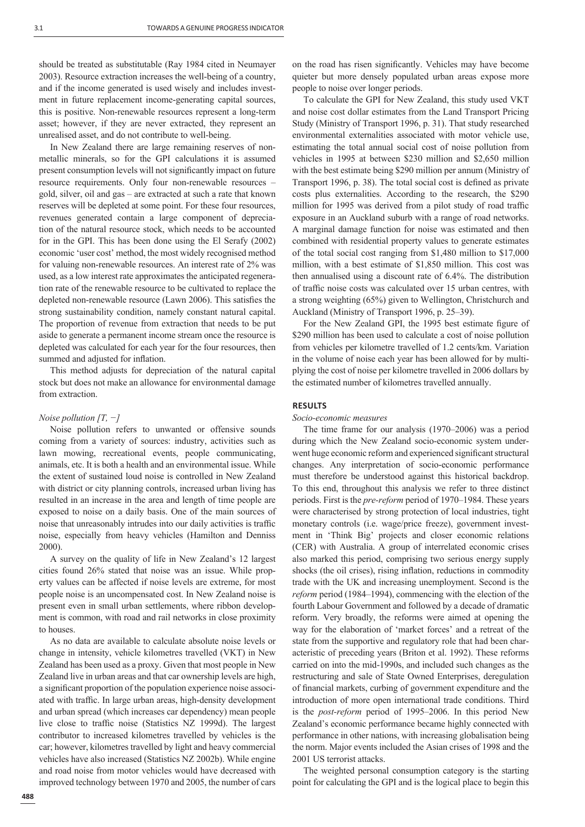should be treated as substitutable (Ray 1984 cited in Neumayer 2003). Resource extraction increases the well-being of a country, and if the income generated is used wisely and includes investment in future replacement income-generating capital sources, this is positive. Non-renewable resources represent a long-term asset; however, if they are never extracted, they represent an unrealised asset, and do not contribute to well-being.

In New Zealand there are large remaining reserves of nonmetallic minerals, so for the GPI calculations it is assumed present consumption levels will not significantly impact on future resource requirements. Only four non-renewable resources – gold, silver, oil and gas – are extracted at such a rate that known reserves will be depleted at some point. For these four resources, revenues generated contain a large component of depreciation of the natural resource stock, which needs to be accounted for in the GPI. This has been done using the El Serafy (2002) economic 'user cost' method, the most widely recognised method for valuing non-renewable resources. An interest rate of 2% was used, as a low interest rate approximates the anticipated regeneration rate of the renewable resource to be cultivated to replace the depleted non-renewable resource (Lawn 2006). This satisfies the strong sustainability condition, namely constant natural capital. The proportion of revenue from extraction that needs to be put aside to generate a permanent income stream once the resource is depleted was calculated for each year for the four resources, then summed and adjusted for inflation.

This method adjusts for depreciation of the natural capital stock but does not make an allowance for environmental damage from extraction.

#### *Noise pollution [T, −]*

Noise pollution refers to unwanted or offensive sounds coming from a variety of sources: industry, activities such as lawn mowing, recreational events, people communicating, animals, etc. It is both a health and an environmental issue. While the extent of sustained loud noise is controlled in New Zealand with district or city planning controls, increased urban living has resulted in an increase in the area and length of time people are exposed to noise on a daily basis. One of the main sources of noise that unreasonably intrudes into our daily activities is traffic noise, especially from heavy vehicles (Hamilton and Denniss 2000).

A survey on the quality of life in New Zealand's 12 largest cities found 26% stated that noise was an issue. While property values can be affected if noise levels are extreme, for most people noise is an uncompensated cost. In New Zealand noise is present even in small urban settlements, where ribbon development is common, with road and rail networks in close proximity to houses.

As no data are available to calculate absolute noise levels or change in intensity, vehicle kilometres travelled (VKT) in New Zealand has been used as a proxy. Given that most people in New Zealand live in urban areas and that car ownership levels are high, a significant proportion of the population experience noise associ-ated with traffic. In large urban areas, high-density development and urban spread (which increases car dependency) mean people live close to traffic noise (Statistics NZ 1999d). The largest contributor to increased kilometres travelled by vehicles is the car; however, kilometres travelled by light and heavy commercial vehicles have also increased (Statistics NZ 2002b). While engine and road noise from motor vehicles would have decreased with improved technology between 1970 and 2005, the number of cars on the road has risen significantly. Vehicles may have become quieter but more densely populated urban areas expose more people to noise over longer periods.

To calculate the GPI for New Zealand, this study used VKT and noise cost dollar estimates from the Land Transport Pricing Study (Ministry of Transport 1996, p. 31). That study researched environmental externalities associated with motor vehicle use, estimating the total annual social cost of noise pollution from vehicles in 1995 at between \$230 million and \$2,650 million with the best estimate being \$290 million per annum (Ministry of Transport 1996, p. 38). The total social cost is defined as private costs plus externalities. According to the research, the \$290 million for 1995 was derived from a pilot study of road traffic exposure in an Auckland suburb with a range of road networks. A marginal damage function for noise was estimated and then combined with residential property values to generate estimates of the total social cost ranging from \$1,480 million to \$17,000 million, with a best estimate of \$1,850 million. This cost was then annualised using a discount rate of 6.4%. The distribution of traffic noise costs was calculated over 15 urban centres, with a strong weighting (65%) given to Wellington, Christchurch and Auckland (Ministry of Transport 1996, p. 25–39).

For the New Zealand GPI, the 1995 best estimate figure of \$290 million has been used to calculate a cost of noise pollution from vehicles per kilometre travelled of 1.2 cents/km. Variation in the volume of noise each year has been allowed for by multiplying the cost of noise per kilometre travelled in 2006 dollars by the estimated number of kilometres travelled annually.

## **RESULTS**

## *Socio-economic measures*

The time frame for our analysis (1970–2006) was a period during which the New Zealand socio-economic system underwent huge economic reform and experienced significant structural changes. Any interpretation of socio-economic performance must therefore be understood against this historical backdrop. To this end, throughout this analysis we refer to three distinct periods. First is the *pre-reform* period of 1970–1984. These years were characterised by strong protection of local industries, tight monetary controls (i.e. wage/price freeze), government investment in 'Think Big' projects and closer economic relations (CER) with Australia. A group of interrelated economic crises also marked this period, comprising two serious energy supply shocks (the oil crises), rising inflation, reductions in commodity trade with the UK and increasing unemployment. Second is the *reform* period (1984–1994), commencing with the election of the fourth Labour Government and followed by a decade of dramatic reform. Very broadly, the reforms were aimed at opening the way for the elaboration of 'market forces' and a retreat of the state from the supportive and regulatory role that had been characteristic of preceding years (Briton et al. 1992). These reforms carried on into the mid-1990s, and included such changes as the restructuring and sale of State Owned Enterprises, deregulation of financial markets, curbing of government expenditure and the introduction of more open international trade conditions. Third is the *post-reform* period of 1995–2006. In this period New Zealand's economic performance became highly connected with performance in other nations, with increasing globalisation being the norm. Major events included the Asian crises of 1998 and the 2001 US terrorist attacks.

The weighted personal consumption category is the starting point for calculating the GPI and is the logical place to begin this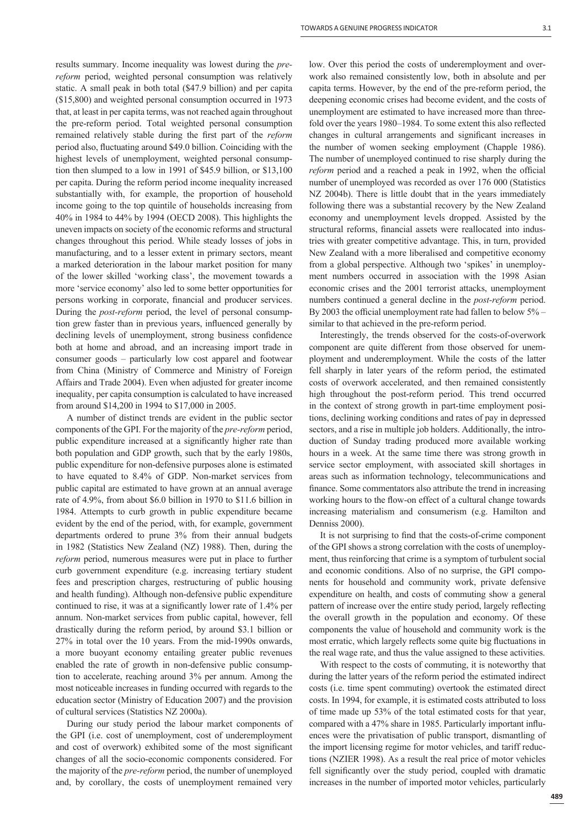results summary. Income inequality was lowest during the *prereform* period, weighted personal consumption was relatively static. A small peak in both total (\$47.9 billion) and per capita (\$15,800) and weighted personal consumption occurred in 1973 that, at least in per capita terms, was not reached again throughout the pre-reform period. Total weighted personal consumption remained relatively stable during the first part of the *reform* period also, fluctuating around \$49.0 billion. Coinciding with the highest levels of unemployment, weighted personal consumption then slumped to a low in 1991 of \$45.9 billion, or \$13,100 per capita. During the reform period income inequality increased substantially with, for example, the proportion of household income going to the top quintile of households increasing from 40% in 1984 to 44% by 1994 (OECD 2008). This highlights the uneven impacts on society of the economic reforms and structural changes throughout this period. While steady losses of jobs in manufacturing, and to a lesser extent in primary sectors, meant a marked deterioration in the labour market position for many of the lower skilled 'working class', the movement towards a more 'service economy' also led to some better opportunities for persons working in corporate, financial and producer services. During the *post-reform* period, the level of personal consumption grew faster than in previous years, influenced generally by declining levels of unemployment, strong business confidence both at home and abroad, and an increasing import trade in consumer goods – particularly low cost apparel and footwear from China (Ministry of Commerce and Ministry of Foreign Affairs and Trade 2004). Even when adjusted for greater income inequality, per capita consumption is calculated to have increased from around \$14,200 in 1994 to \$17,000 in 2005.

A number of distinct trends are evident in the public sector components of the GPI. For the majority of the *pre-reform* period, public expenditure increased at a significantly higher rate than both population and GDP growth, such that by the early 1980s, public expenditure for non-defensive purposes alone is estimated to have equated to 8.4% of GDP. Non-market services from public capital are estimated to have grown at an annual average rate of 4.9%, from about \$6.0 billion in 1970 to \$11.6 billion in 1984. Attempts to curb growth in public expenditure became evident by the end of the period, with, for example, government departments ordered to prune 3% from their annual budgets in 1982 (Statistics New Zealand (NZ) 1988). Then, during the *reform* period, numerous measures were put in place to further curb government expenditure (e.g. increasing tertiary student fees and prescription charges, restructuring of public housing and health funding). Although non-defensive public expenditure continued to rise, it was at a significantly lower rate of 1.4% per annum. Non-market services from public capital, however, fell drastically during the reform period, by around \$3.1 billion or 27% in total over the 10 years. From the mid-1990s onwards, a more buoyant economy entailing greater public revenues enabled the rate of growth in non-defensive public consumption to accelerate, reaching around 3% per annum. Among the most noticeable increases in funding occurred with regards to the education sector (Ministry of Education 2007) and the provision of cultural services (Statistics NZ 2000a).

During our study period the labour market components of the GPI (i.e. cost of unemployment, cost of underemployment and cost of overwork) exhibited some of the most significant changes of all the socio-economic components considered. For the majority of the *pre-reform* period, the number of unemployed and, by corollary, the costs of unemployment remained very

low. Over this period the costs of underemployment and overwork also remained consistently low, both in absolute and per capita terms. However, by the end of the pre-reform period, the deepening economic crises had become evident, and the costs of unemployment are estimated to have increased more than threefold over the years 1980–1984. To some extent this also reflected changes in cultural arrangements and significant increases in the number of women seeking employment (Chapple 1986). The number of unemployed continued to rise sharply during the *reform* period and a reached a peak in 1992, when the official number of unemployed was recorded as over 176 000 (Statistics NZ 2004b). There is little doubt that in the years immediately following there was a substantial recovery by the New Zealand economy and unemployment levels dropped. Assisted by the structural reforms, financial assets were reallocated into industries with greater competitive advantage. This, in turn, provided New Zealand with a more liberalised and competitive economy from a global perspective. Although two 'spikes' in unemployment numbers occurred in association with the 1998 Asian economic crises and the 2001 terrorist attacks, unemployment numbers continued a general decline in the *post-reform* period. By 2003 the official unemployment rate had fallen to below  $5\%$  – similar to that achieved in the pre-reform period.

Interestingly, the trends observed for the costs-of-overwork component are quite different from those observed for unemployment and underemployment. While the costs of the latter fell sharply in later years of the reform period, the estimated costs of overwork accelerated, and then remained consistently high throughout the post-reform period. This trend occurred in the context of strong growth in part-time employment positions, declining working conditions and rates of pay in depressed sectors, and a rise in multiple job holders. Additionally, the introduction of Sunday trading produced more available working hours in a week. At the same time there was strong growth in service sector employment, with associated skill shortages in areas such as information technology, telecommunications and finance. Some commentators also attribute the trend in increasing working hours to the flow-on effect of a cultural change towards increasing materialism and consumerism (e.g. Hamilton and Denniss 2000).

It is not surprising to find that the costs-of-crime component of the GPI shows a strong correlation with the costs of unemployment, thus reinforcing that crime is a symptom of turbulent social and economic conditions. Also of no surprise, the GPI components for household and community work, private defensive expenditure on health, and costs of commuting show a general pattern of increase over the entire study period, largely reflecting the overall growth in the population and economy. Of these components the value of household and community work is the most erratic, which largely reflects some quite big fluctuations in the real wage rate, and thus the value assigned to these activities.

With respect to the costs of commuting, it is noteworthy that during the latter years of the reform period the estimated indirect costs (i.e. time spent commuting) overtook the estimated direct costs. In 1994, for example, it is estimated costs attributed to loss of time made up 53% of the total estimated costs for that year, compared with a 47% share in 1985. Particularly important influences were the privatisation of public transport, dismantling of the import licensing regime for motor vehicles, and tariff reductions (NZIER 1998). As a result the real price of motor vehicles fell significantly over the study period, coupled with dramatic increases in the number of imported motor vehicles, particularly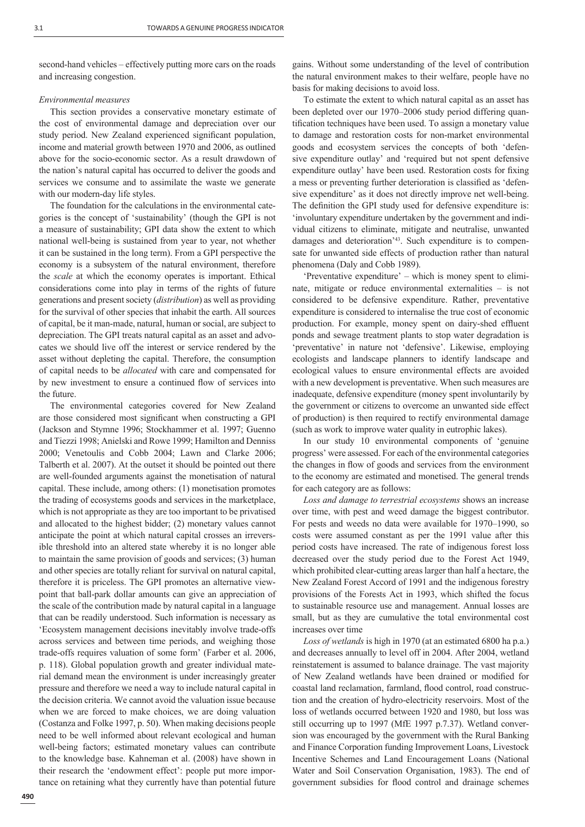second-hand vehicles – effectively putting more cars on the roads and increasing congestion.

## *Environmental measures*

This section provides a conservative monetary estimate of the cost of environmental damage and depreciation over our study period. New Zealand experienced significant population, income and material growth between 1970 and 2006, as outlined above for the socio-economic sector. As a result drawdown of the nation's natural capital has occurred to deliver the goods and services we consume and to assimilate the waste we generate with our modern-day life styles.

The foundation for the calculations in the environmental categories is the concept of 'sustainability' (though the GPI is not a measure of sustainability; GPI data show the extent to which national well-being is sustained from year to year, not whether it can be sustained in the long term). From a GPI perspective the economy is a subsystem of the natural environment, therefore the *scale* at which the economy operates is important. Ethical considerations come into play in terms of the rights of future generations and present society (*distribution*) as well as providing for the survival of other species that inhabit the earth. All sources of capital, be it man-made, natural, human or social, are subject to depreciation. The GPI treats natural capital as an asset and advocates we should live off the interest or service rendered by the asset without depleting the capital. Therefore, the consumption of capital needs to be *allocated* with care and compensated for by new investment to ensure a continued flow of services into the future.

The environmental categories covered for New Zealand are those considered most significant when constructing a GPI (Jackson and Stymne 1996; Stockhammer et al. 1997; Guenno and Tiezzi 1998; Anielski and Rowe 1999; Hamilton and Denniss 2000; Venetoulis and Cobb 2004; Lawn and Clarke 2006; Talberth et al. 2007). At the outset it should be pointed out there are well-founded arguments against the monetisation of natural capital. These include, among others: (1) monetisation promotes the trading of ecosystems goods and services in the marketplace, which is not appropriate as they are too important to be privatised and allocated to the highest bidder; (2) monetary values cannot anticipate the point at which natural capital crosses an irreversible threshold into an altered state whereby it is no longer able to maintain the same provision of goods and services; (3) human and other species are totally reliant for survival on natural capital, therefore it is priceless. The GPI promotes an alternative viewpoint that ball-park dollar amounts can give an appreciation of the scale of the contribution made by natural capital in a language that can be readily understood. Such information is necessary as 'Ecosystem management decisions inevitably involve trade-offs across services and between time periods, and weighing those trade-offs requires valuation of some form' (Farber et al. 2006, p. 118). Global population growth and greater individual material demand mean the environment is under increasingly greater pressure and therefore we need a way to include natural capital in the decision criteria. We cannot avoid the valuation issue because when we are forced to make choices, we are doing valuation (Costanza and Folke 1997, p. 50). When making decisions people need to be well informed about relevant ecological and human well-being factors; estimated monetary values can contribute to the knowledge base. Kahneman et al. (2008) have shown in their research the 'endowment effect': people put more importance on retaining what they currently have than potential future

gains. Without some understanding of the level of contribution the natural environment makes to their welfare, people have no basis for making decisions to avoid loss.

To estimate the extent to which natural capital as an asset has been depleted over our 1970–2006 study period differing quantification techniques have been used. To assign a monetary value to damage and restoration costs for non-market environmental goods and ecosystem services the concepts of both 'defensive expenditure outlay' and 'required but not spent defensive expenditure outlay' have been used. Restoration costs for fixing a mess or preventing further deterioration is classified as 'defensive expenditure' as it does not directly improve net well-being. The definition the GPI study used for defensive expenditure is: 'involuntary expenditure undertaken by the government and individual citizens to eliminate, mitigate and neutralise, unwanted damages and deterioration'43. Such expenditure is to compensate for unwanted side effects of production rather than natural phenomena (Daly and Cobb 1989).

'Preventative expenditure' – which is money spent to eliminate, mitigate or reduce environmental externalities – is not considered to be defensive expenditure. Rather, preventative expenditure is considered to internalise the true cost of economic production. For example, money spent on dairy-shed effluent ponds and sewage treatment plants to stop water degradation is 'preventative' in nature not 'defensive'. Likewise, employing ecologists and landscape planners to identify landscape and ecological values to ensure environmental effects are avoided with a new development is preventative. When such measures are inadequate, defensive expenditure (money spent involuntarily by the government or citizens to overcome an unwanted side effect of production) is then required to rectify environmental damage (such as work to improve water quality in eutrophic lakes).

In our study 10 environmental components of 'genuine progress' were assessed. For each of the environmental categories the changes in flow of goods and services from the environment to the economy are estimated and monetised. The general trends for each category are as follows:

*Loss and damage to terrestrial ecosystems* shows an increase over time, with pest and weed damage the biggest contributor. For pests and weeds no data were available for 1970–1990, so costs were assumed constant as per the 1991 value after this period costs have increased. The rate of indigenous forest loss decreased over the study period due to the Forest Act 1949, which prohibited clear-cutting areas larger than half a hectare, the New Zealand Forest Accord of 1991 and the indigenous forestry provisions of the Forests Act in 1993, which shifted the focus to sustainable resource use and management. Annual losses are small, but as they are cumulative the total environmental cost increases over time

*Loss of wetlands* is high in 1970 (at an estimated 6800 ha p.a.) and decreases annually to level off in 2004. After 2004, wetland reinstatement is assumed to balance drainage. The vast majority of New Zealand wetlands have been drained or modified for coastal land reclamation, farmland, flood control, road construction and the creation of hydro-electricity reservoirs. Most of the loss of wetlands occurred between 1920 and 1980, but loss was still occurring up to 1997 (MfE 1997 p.7.37). Wetland conversion was encouraged by the government with the Rural Banking and Finance Corporation funding Improvement Loans, Livestock Incentive Schemes and Land Encouragement Loans (National Water and Soil Conservation Organisation, 1983). The end of government subsidies for flood control and drainage schemes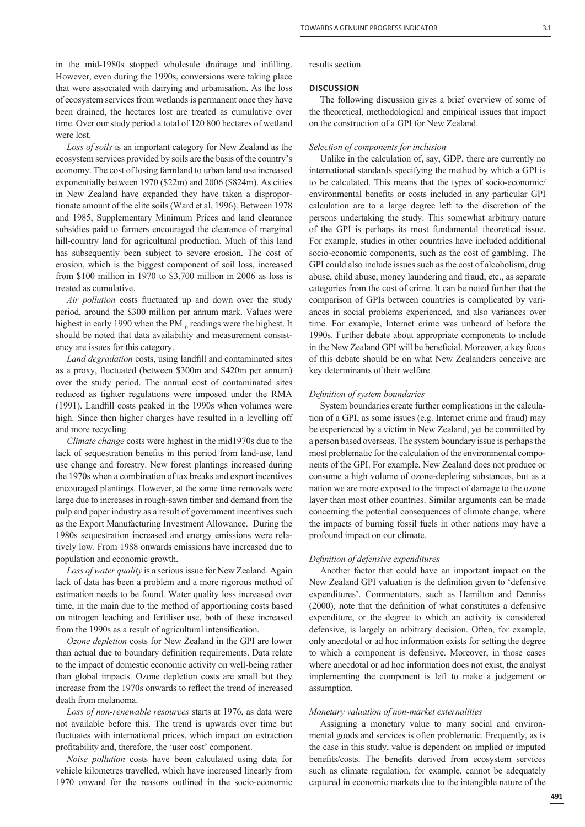in the mid-1980s stopped wholesale drainage and infilling. However, even during the 1990s, conversions were taking place that were associated with dairying and urbanisation. As the loss of ecosystem services from wetlands is permanent once they have been drained, the hectares lost are treated as cumulative over time. Over our study period a total of 120 800 hectares of wetland were lost.

*Loss of soils* is an important category for New Zealand as the ecosystem services provided by soils are the basis of the country's economy. The cost of losing farmland to urban land use increased exponentially between 1970 (\$22m) and 2006 (\$824m). As cities in New Zealand have expanded they have taken a disproportionate amount of the elite soils (Ward et al, 1996). Between 1978 and 1985, Supplementary Minimum Prices and land clearance subsidies paid to farmers encouraged the clearance of marginal hill-country land for agricultural production. Much of this land has subsequently been subject to severe erosion. The cost of erosion, which is the biggest component of soil loss, increased from \$100 million in 1970 to \$3,700 million in 2006 as loss is treated as cumulative.

*Air pollution* costs fluctuated up and down over the study period, around the \$300 million per annum mark. Values were highest in early 1990 when the  $PM_{10}$  readings were the highest. It should be noted that data availability and measurement consistency are issues for this category.

*Land degradation* costs, using landfill and contaminated sites as a proxy, fluctuated (between \$300m and \$420m per annum) over the study period. The annual cost of contaminated sites reduced as tighter regulations were imposed under the RMA  $(1991)$ . Landfill costs peaked in the 1990s when volumes were high. Since then higher charges have resulted in a levelling off and more recycling.

*Climate change* costs were highest in the mid1970s due to the lack of sequestration benefits in this period from land-use, land use change and forestry. New forest plantings increased during the 1970s when a combination of tax breaks and export incentives encouraged plantings. However, at the same time removals were large due to increases in rough-sawn timber and demand from the pulp and paper industry as a result of government incentives such as the Export Manufacturing Investment Allowance. During the 1980s sequestration increased and energy emissions were relatively low. From 1988 onwards emissions have increased due to population and economic growth.

*Loss of water quality* is a serious issue for New Zealand. Again lack of data has been a problem and a more rigorous method of estimation needs to be found. Water quality loss increased over time, in the main due to the method of apportioning costs based on nitrogen leaching and fertiliser use, both of these increased from the 1990s as a result of agricultural intensification.

*Ozone depletion* costs for New Zealand in the GPI are lower than actual due to boundary definition requirements. Data relate to the impact of domestic economic activity on well-being rather than global impacts. Ozone depletion costs are small but they increase from the 1970s onwards to reflect the trend of increased death from melanoma.

*Loss of non-renewable resources* starts at 1976, as data were not available before this. The trend is upwards over time but fluctuates with international prices, which impact on extraction profitability and, therefore, the 'user cost' component.

*Noise pollution* costs have been calculated using data for vehicle kilometres travelled, which have increased linearly from 1970 onward for the reasons outlined in the socio-economic results section.

#### **DISCUSSION**

The following discussion gives a brief overview of some of the theoretical, methodological and empirical issues that impact on the construction of a GPI for New Zealand.

## *Selection of components for inclusion*

Unlike in the calculation of, say, GDP, there are currently no international standards specifying the method by which a GPI is to be calculated. This means that the types of socio-economic/ environmental benefits or costs included in any particular GPI calculation are to a large degree left to the discretion of the persons undertaking the study. This somewhat arbitrary nature of the GPI is perhaps its most fundamental theoretical issue. For example, studies in other countries have included additional socio-economic components, such as the cost of gambling. The GPI could also include issues such as the cost of alcoholism, drug abuse, child abuse, money laundering and fraud, etc., as separate categories from the cost of crime. It can be noted further that the comparison of GPIs between countries is complicated by variances in social problems experienced, and also variances over time. For example, Internet crime was unheard of before the 1990s. Further debate about appropriate components to include in the New Zealand GPI will be beneficial. Moreover, a key focus of this debate should be on what New Zealanders conceive are key determinants of their welfare.

## *Defi nition of system boundaries*

System boundaries create further complications in the calculation of a GPI, as some issues (e.g. Internet crime and fraud) may be experienced by a victim in New Zealand, yet be committed by a person based overseas. The system boundary issue is perhaps the most problematic for the calculation of the environmental components of the GPI. For example, New Zealand does not produce or consume a high volume of ozone-depleting substances, but as a nation we are more exposed to the impact of damage to the ozone layer than most other countries. Similar arguments can be made concerning the potential consequences of climate change, where the impacts of burning fossil fuels in other nations may have a profound impact on our climate.

#### *Defi nition of defensive expenditures*

Another factor that could have an important impact on the New Zealand GPI valuation is the definition given to 'defensive expenditures'. Commentators, such as Hamilton and Denniss  $(2000)$ , note that the definition of what constitutes a defensive expenditure, or the degree to which an activity is considered defensive, is largely an arbitrary decision. Often, for example, only anecdotal or ad hoc information exists for setting the degree to which a component is defensive. Moreover, in those cases where anecdotal or ad hoc information does not exist, the analyst implementing the component is left to make a judgement or assumption.

#### *Monetary valuation of non-market externalities*

Assigning a monetary value to many social and environmental goods and services is often problematic. Frequently, as is the case in this study, value is dependent on implied or imputed benefits/costs. The benefits derived from ecosystem services such as climate regulation, for example, cannot be adequately captured in economic markets due to the intangible nature of the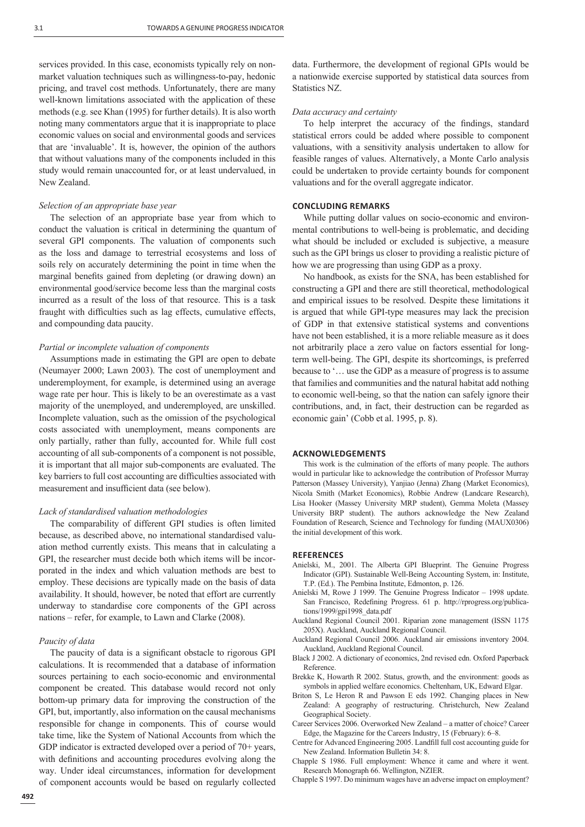services provided. In this case, economists typically rely on nonmarket valuation techniques such as willingness-to-pay, hedonic pricing, and travel cost methods. Unfortunately, there are many well-known limitations associated with the application of these methods (e.g. see Khan (1995) for further details). It is also worth noting many commentators argue that it is inappropriate to place economic values on social and environmental goods and services that are 'invaluable'. It is, however, the opinion of the authors that without valuations many of the components included in this study would remain unaccounted for, or at least undervalued, in New Zealand.

## *Selection of an appropriate base year*

The selection of an appropriate base year from which to conduct the valuation is critical in determining the quantum of several GPI components. The valuation of components such as the loss and damage to terrestrial ecosystems and loss of soils rely on accurately determining the point in time when the marginal benefits gained from depleting (or drawing down) an environmental good/service become less than the marginal costs incurred as a result of the loss of that resource. This is a task fraught with difficulties such as lag effects, cumulative effects, and compounding data paucity.

## *Partial or incomplete valuation of components*

Assumptions made in estimating the GPI are open to debate (Neumayer 2000; Lawn 2003). The cost of unemployment and underemployment, for example, is determined using an average wage rate per hour. This is likely to be an overestimate as a vast majority of the unemployed, and underemployed, are unskilled. Incomplete valuation, such as the omission of the psychological costs associated with unemployment, means components are only partially, rather than fully, accounted for. While full cost accounting of all sub-components of a component is not possible, it is important that all major sub-components are evaluated. The key barriers to full cost accounting are difficulties associated with measurement and insufficient data (see below).

#### *Lack of standardised valuation methodologies*

The comparability of different GPI studies is often limited because, as described above, no international standardised valuation method currently exists. This means that in calculating a GPI, the researcher must decide both which items will be incorporated in the index and which valuation methods are best to employ. These decisions are typically made on the basis of data availability. It should, however, be noted that effort are currently underway to standardise core components of the GPI across nations – refer, for example, to Lawn and Clarke (2008).

#### *Paucity of data*

The paucity of data is a significant obstacle to rigorous GPI calculations. It is recommended that a database of information sources pertaining to each socio-economic and environmental component be created. This database would record not only bottom-up primary data for improving the construction of the GPI, but, importantly, also information on the causal mechanisms responsible for change in components. This of course would take time, like the System of National Accounts from which the GDP indicator is extracted developed over a period of 70+ years, with definitions and accounting procedures evolving along the way. Under ideal circumstances, information for development of component accounts would be based on regularly collected

data. Furthermore, the development of regional GPIs would be a nationwide exercise supported by statistical data sources from Statistics NZ.

#### *Data accuracy and certainty*

To help interpret the accuracy of the findings, standard statistical errors could be added where possible to component valuations, with a sensitivity analysis undertaken to allow for feasible ranges of values. Alternatively, a Monte Carlo analysis could be undertaken to provide certainty bounds for component valuations and for the overall aggregate indicator.

#### **CONCLUDING REMARKS**

While putting dollar values on socio-economic and environmental contributions to well-being is problematic, and deciding what should be included or excluded is subjective, a measure such as the GPI brings us closer to providing a realistic picture of how we are progressing than using GDP as a proxy.

No handbook, as exists for the SNA, has been established for constructing a GPI and there are still theoretical, methodological and empirical issues to be resolved. Despite these limitations it is argued that while GPI-type measures may lack the precision of GDP in that extensive statistical systems and conventions have not been established, it is a more reliable measure as it does not arbitrarily place a zero value on factors essential for longterm well-being. The GPI, despite its shortcomings, is preferred because to '… use the GDP as a measure of progress is to assume that families and communities and the natural habitat add nothing to economic well-being, so that the nation can safely ignore their contributions, and, in fact, their destruction can be regarded as economic gain' (Cobb et al. 1995, p. 8).

#### **ACKNOWLEDGEMENTS**

This work is the culmination of the efforts of many people. The authors would in particular like to acknowledge the contribution of Professor Murray Patterson (Massey University), Yanjiao (Jenna) Zhang (Market Economics), Nicola Smith (Market Economics), Robbie Andrew (Landcare Research), Lisa Hooker (Massey University MRP student), Gemma Moleta (Massey University BRP student). The authors acknowledge the New Zealand Foundation of Research, Science and Technology for funding (MAUX0306) the initial development of this work.

#### **REFERENCES**

- Anielski, M., 2001. The Alberta GPI Blueprint. The Genuine Progress Indicator (GPI). Sustainable Well-Being Accounting System, in: Institute, T.P. (Ed.). The Pembina Institute, Edmonton, p. 126.
- Anielski M, Rowe J 1999. The Genuine Progress Indicator 1998 update. San Francisco, Redefining Progress. 61 p. http://rprogress.org/publications/1999/gpi1998\_data.pdf
- Auckland Regional Council 2001. Riparian zone management (ISSN 1175 205X). Auckland, Auckland Regional Council.
- Auckland Regional Council 2006. Auckland air emissions inventory 2004. Auckland, Auckland Regional Council.
- Black J 2002. A dictionary of economics, 2nd revised edn. Oxford Paperback Reference.
- Brekke K, Howarth R 2002. Status, growth, and the environment: goods as symbols in applied welfare economics. Cheltenham, UK, Edward Elgar.
- Briton S, Le Heron R and Pawson E eds 1992. Changing places in New Zealand: A geography of restructuring. Christchurch, New Zealand Geographical Society.
- Career Services 2006. Overworked New Zealand a matter of choice? Career Edge, the Magazine for the Careers Industry, 15 (February): 6–8.
- Centre for Advanced Engineering 2005. Landfill full cost accounting guide for New Zealand. Information Bulletin 34: 8.
- Chapple S 1986. Full employment: Whence it came and where it went. Research Monograph 66. Wellington, NZIER.
- Chapple S 1997. Do minimum wages have an adverse impact on employment?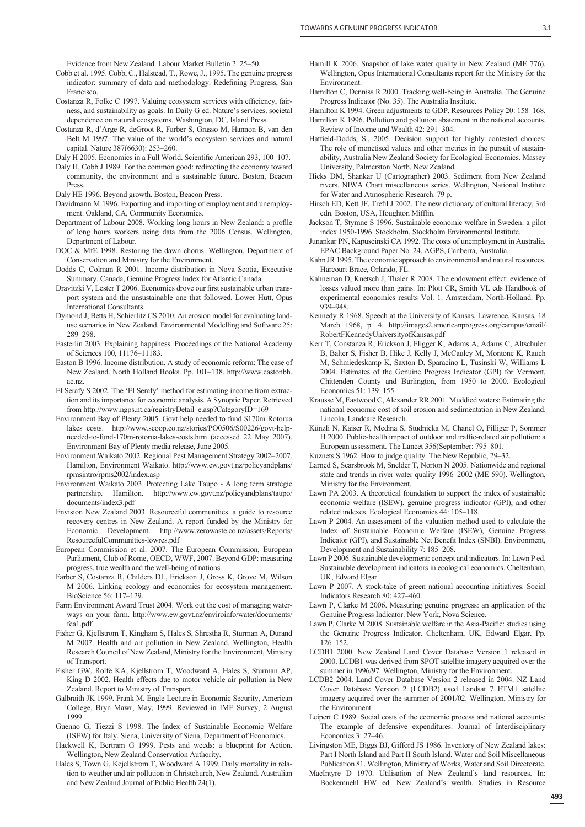Evidence from New Zealand. Labour Market Bulletin 2: 25–50.

- Cobb et al. 1995. Cobb, C., Halstead, T., Rowe, J., 1995. The genuine progress indicator: summary of data and methodology. Redefining Progress, San Francisco.
- Costanza R, Folke C 1997. Valuing ecosystem services with efficiency, fairness, and sustainability as goals. In Daily G ed. Nature's services. societal dependence on natural ecosystems. Washington, DC, Island Press.
- Costanza R, d'Arge R, deGroot R, Farber S, Grasso M, Hannon B, van den Belt M 1997. The value of the world's ecosystem services and natural capital. Nature 387(6630): 253–260.
- Daly H 2005. Economics in a Full World. Scientific American 293, 100-107.
- Daly H, Cobb J 1989. For the common good: redirecting the economy toward community, the environment and a sustainable future. Boston, Beacon Press.
- Daly HE 1996. Beyond growth. Boston, Beacon Press.
- Davidmann M 1996. Exporting and importing of employment and unemployment. Oakland, CA, Community Economics.
- Department of Labour 2008. Working long hours in New Zealand: a profile of long hours workers using data from the 2006 Census. Wellington, Department of Labour.
- DOC & MfE 1998. Restoring the dawn chorus. Wellington, Department of Conservation and Ministry for the Environment.
- Dodds C, Colman R 2001. Income distribution in Nova Scotia, Executive Summary. Canada, Genuine Progress Index for Atlantic Canada.
- Dravitzki V, Lester T 2006. Economics drove our first sustainable urban transport system and the unsustainable one that followed. Lower Hutt, Opus International Consultants.
- Dymond J, Betts H, Schierlitz CS 2010. An erosion model for evaluating landuse scenarios in New Zealand. Environmental Modelling and Software 25: 289–298.
- Easterlin 2003. Explaining happiness. Proceedings of the National Academy of Sciences 100, 11176–11183.
- Easton B 1996. Income distribution. A study of economic reform: The case of New Zealand. North Holland Books. Pp. 101–138. http://www.eastonbh. ac.nz.
- El Serafy S 2002. The 'El Serafy' method for estimating income from extraction and its importance for economic analysis. A Synoptic Paper. Retrieved from http://www.ngps.nt.ca/registryDetail\_e.asp?CategoryID=169
- Environment Bay of Plenty 2005. Govt help needed to fund \$170m Rotorua lakes costs. http://www.scoop.co.nz/stories/PO0506/S00226/govt-helpneeded-to-fund-170m-rotorua-lakes-costs.htm (accessed 22 May 2007). Environment Bay of Plenty media release, June 2005.
- Environment Waikato 2002. Regional Pest Management Strategy 2002–2007. Hamilton, Environment Waikato. http://www.ew.govt.nz/policyandplans/ rpmsintro/rpms2002/index.asp
- Environment Waikato 2003. Protecting Lake Taupo A long term strategic partnership. Hamilton. http://www.ew.govt.nz/policyandplans/taupo/ documents/index3.pdf
- Envision New Zealand 2003. Resourceful communities. a guide to resource recovery centres in New Zealand. A report funded by the Ministry for Economic Development. http://www.zerowaste.co.nz/assets/Reports/ ResourcefulCommunities-lowres.pdf
- European Commission et al. 2007. The European Commission, European Parliament, Club of Rome, OECD, WWF, 2007. Beyond GDP: measuring progress, true wealth and the well-being of nations.
- Farber S, Costanza R, Childers DL, Erickson J, Gross K, Grove M, Wilson M 2006. Linking ecology and economics for ecosystem management. BioScience 56: 117–129.
- Farm Environment Award Trust 2004. Work out the cost of managing waterways on your farm. http://www.ew.govt.nz/enviroinfo/water/documents/ fea1.pdf
- Fisher G, Kjellstrom T, Kingham S, Hales S, Shrestha R, Sturman A, Durand M 2007. Health and air pollution in New Zealand. Wellington, Health Research Council of New Zealand, Ministry for the Environment, Ministry of Transport.
- Fisher GW, Rolfe KA, Kjellstrom T, Woodward A, Hales S, Sturman AP, King D 2002. Health effects due to motor vehicle air pollution in New Zealand. Report to Ministry of Transport.
- Galbraith JK 1999. Frank M. Engle Lecture in Economic Security, American College, Bryn Mawr, May, 1999. Reviewed in IMF Survey, 2 August 1999.
- Guenno G, Tiezzi S 1998. The Index of Sustainable Economic Welfare (ISEW) for Italy. Siena, University of Siena, Department of Economics.
- Hackwell K, Bertram G 1999. Pests and weeds: a blueprint for Action. Wellington, New Zealand Conservation Authority.
- Hales S, Town G, Kejellstrom T, Woodward A 1999. Daily mortality in relation to weather and air pollution in Christchurch, New Zealand. Australian and New Zealand Journal of Public Health 24(1).
- Hamill K 2006. Snapshot of lake water quality in New Zealand (ME 776). Wellington, Opus International Consultants report for the Ministry for the Environment.
- Hamilton C, Denniss R 2000. Tracking well-being in Australia. The Genuine Progress Indicator (No. 35). The Australia Institute.
- Hamilton K 1994. Green adjustments to GDP. Resources Policy 20: 158–168. Hamilton K 1996. Pollution and pollution abatement in the national accounts.
- Review of Income and Wealth 42: 291–304. Hatfield-Dodds, S., 2005. Decision support for highly contested choices: The role of monetised values and other metrics in the pursuit of sustainability, Australia New Zealand Society for Ecological Economics. Massey University, Palmerston North, New Zealand.
- Hicks DM, Shankar U (Cartographer) 2003. Sediment from New Zealand rivers. NIWA Chart miscellaneous series. Wellington, National Institute for Water and Atmospheric Research. 79 p.
- Hirsch ED, Kett JF, Trefil J 2002. The new dictionary of cultural literacy, 3rd edn. Boston, USA, Houghton Mifflin.
- Jackson T, Stymne S 1996. Sustainable economic welfare in Sweden: a pilot index 1950-1996. Stockholm, Stockholm Environmental Institute.
- Junankar PN, Kapuscinski CA 1992. The costs of unemployment in Australia. EPAC Background Paper No. 24, AGPS, Canberra, Australia.
- Kahn JR 1995. The economic approach to environmental and natural resources. Harcourt Brace, Orlando, FL.
- Kahneman D, Knetsch J, Thaler R 2008. The endowment effect: evidence of losses valued more than gains. In: Plott CR, Smith VL eds Handbook of experimental economics results Vol. 1. Amsterdam, North-Holland. Pp. 939–948.
- Kennedy R 1968. Speech at the University of Kansas, Lawrence, Kansas, 18 March 1968, p. 4. http://images2.americanprogress.org/campus/email/ RobertFKennedyUniversityofKansas.pdf
- Kerr T, Constanza R, Erickson J, Fligger K, Adams A, Adams C, Altschuler B, Balter S, Fisher B, Hike J, Kelly J, McCauley M, Montone K, Rauch M, Schmiedeskamp K, Saxton D, Sparacino L, Tusinski W, Williams L 2004. Estimates of the Genuine Progress Indicator (GPI) for Vermont, Chittenden County and Burlington, from 1950 to 2000. Ecological Economics 51: 139–155.
- Krausse M, Eastwood C, Alexander RR 2001. Muddied waters: Estimating the national economic cost of soil erosion and sedimentation in New Zealand. Lincoln, Landcare Research.
- Künzli N, Kaiser R, Medina S, Studnicka M, Chanel O, Filliger P, Sommer H 2000. Public-health impact of outdoor and traffic-related air pollution: a European assessment. The Lancet 356(September: 795–801.
- Kuznets S 1962. How to judge quality. The New Republic, 29–32.
- Larned S, Scarsbrook M, Snelder T, Norton N 2005. Nationwide and regional state and trends in river water quality 1996–2002 (ME 590). Wellington, Ministry for the Environment.
- Lawn PA 2003. A theoretical foundation to support the index of sustainable economic welfare (ISEW), genuine progress indicator (GPI), and other related indexes. Ecological Economics 44: 105–118.
- Lawn P 2004. An assessment of the valuation method used to calculate the Index of Sustainable Economic Welfare (ISEW), Genuine Progress Indicator (GPI), and Sustainable Net Benefit Index (SNBI). Environment, Development and Sustainability 7: 185–208.
- Lawn P 2006. Sustainable development: concept and indicators. In: Lawn P ed. Sustainable development indicators in ecological economics. Cheltenham, UK, Edward Elgar.
- Lawn P 2007. A stock-take of green national accounting initiatives. Social Indicators Research 80: 427–460.
- Lawn P, Clarke M 2006. Measuring genuine progress: an application of the Genuine Progress Indicator. New York, Nova Science.
- Lawn P, Clarke M 2008. Sustainable welfare in the Asia-Pacific: studies using the Genuine Progress Indicator. Cheltenham, UK, Edward Elgar. Pp. 126–152.
- LCDB1 2000. New Zealand Land Cover Database Version 1 released in 2000. LCDB1 was derived from SPOT satellite imagery acquired over the summer in 1996/97. Wellington, Ministry for the Environment.
- LCDB2 2004. Land Cover Database Version 2 released in 2004. NZ Land Cover Database Version 2 (LCDB2) used Landsat 7 ETM+ satellite imagery acquired over the summer of 2001/02. Wellington, Ministry for the Environment.
- Leipert C 1989. Social costs of the economic process and national accounts: The example of defensive expenditures. Journal of Interdisciplinary Economics 3: 27–46.
- Livingston ME, Biggs BJ, Gifford JS 1986. Inventory of New Zealand lakes: Part I North Island and Part II South Island. Water and Soil Miscellaneous Publication 81. Wellington, Ministry of Works, Water and Soil Directorate.
- MacIntyre D 1970. Utilisation of New Zealand's land resources. In: Bockemuehl HW ed. New Zealand's wealth. Studies in Resource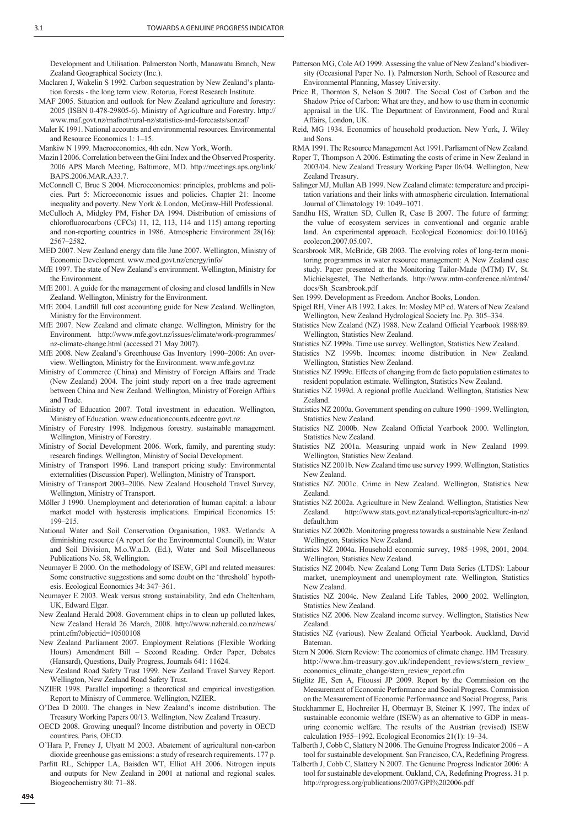Development and Utilisation. Palmerston North, Manawatu Branch, New Zealand Geographical Society (Inc.).

- Maclaren J, Wakelin S 1992. Carbon sequestration by New Zealand's plantation forests - the long term view. Rotorua, Forest Research Institute.
- MAF 2005. Situation and outlook for New Zealand agriculture and forestry: 2005 (ISBN 0-478-29805-6). Ministry of Agriculture and Forestry. http:// www.maf.govt.nz/mafnet/rural-nz/statistics-and-forecasts/sonzaf/
- Maler K 1991. National accounts and environmental resources. Environmental and Resource Economics 1: 1–15.
- Mankiw N 1999. Macroeconomics, 4th edn. New York, Worth.
- Mazin I 2006. Correlation between the Gini Index and the Observed Prosperity. 2006 APS March Meeting, Baltimore, MD. http://meetings.aps.org/link/ BAPS.2006.MAR.A33.7.
- McConnell C, Brue S 2004. Microeconomics: principles, problems and policies. Part 5: Microeconomic issues and policies. Chapter 21: Income inequality and poverty. New York & London, McGraw-Hill Professional.
- McCulloch A, Midgley PM, Fisher DA 1994. Distribution of emissions of chlorofluorocarbons (CFCs) 11, 12, 113, 114 and 115) among reporting and non-reporting countries in 1986. Atmospheric Environment 28(16): 2567–2582.
- MED 2007. New Zealand energy data file June 2007. Wellington, Ministry of Economic Development. www.med.govt.nz/energy/info/
- MfE 1997. The state of New Zealand's environment. Wellington, Ministry for the Environment.
- MfE 2001. A guide for the management of closing and closed landfills in New Zealand. Wellington, Ministry for the Environment.
- MfE 2004. Landfill full cost accounting guide for New Zealand. Wellington, Ministry for the Environment.
- MfE 2007. New Zealand and climate change. Wellington, Ministry for the Environment. http://www.mfe.govt.nz/issues/climate/work-programmes/ nz-climate-change.html (accessed 21 May 2007).
- MfE 2008. New Zealand's Greenhouse Gas Inventory 1990–2006: An overview. Wellington, Ministry for the Environment. www.mfe.govt.nz
- Ministry of Commerce (China) and Ministry of Foreign Affairs and Trade (New Zealand) 2004. The joint study report on a free trade agreement between China and New Zealand. Wellington, Ministry of Foreign Affairs and Trade.
- Ministry of Education 2007. Total investment in education. Wellington, Ministry of Education. www.educationcounts.edcentre.govt.nz
- Ministry of Forestry 1998. Indigenous forestry. sustainable management. Wellington, Ministry of Forestry.
- Ministry of Social Development 2006. Work, family, and parenting study: research findings. Wellington, Ministry of Social Development.
- Ministry of Transport 1996. Land transport pricing study: Environmental externalities (Discussion Paper). Wellington, Ministry of Transport.
- Ministry of Transport 2003–2006. New Zealand Household Travel Survey, Wellington, Ministry of Transport.
- Möller J 1990. Unemployment and deterioration of human capital: a labour market model with hysteresis implications. Empirical Economics 15: 199–215.
- National Water and Soil Conservation Organisation, 1983. Wetlands: A diminishing resource (A report for the Environmental Council), in: Water and Soil Division, M.o.W.a.D. (Ed.), Water and Soil Miscellaneous Publications No. 58, Wellington.
- Neumayer E 2000. On the methodology of ISEW, GPI and related measures: Some constructive suggestions and some doubt on the 'threshold' hypothesis. Ecological Economics 34: 347–361.
- Neumayer E 2003. Weak versus strong sustainability, 2nd edn Cheltenham, UK, Edward Elgar.
- New Zealand Herald 2008. Government chips in to clean up polluted lakes, New Zealand Herald 26 March, 2008. http://www.nzherald.co.nz/news/ print.cfm?objectid=10500108
- New Zealand Parliament 2007. Employment Relations (Flexible Working Hours) Amendment Bill – Second Reading. Order Paper, Debates (Hansard), Questions, Daily Progress, Journals 641: 11624.
- New Zealand Road Safety Trust 1999. New Zealand Travel Survey Report. Wellington, New Zealand Road Safety Trust.
- NZIER 1998. Parallel importing: a theoretical and empirical investigation. Report to Ministry of Commerce. Wellington, NZIER.
- O'Dea D 2000. The changes in New Zealand's income distribution. The Treasury Working Papers 00/13. Wellington, New Zealand Treasury.
- OECD 2008. Growing unequal? Income distribution and poverty in OECD countires. Paris, OECD.
- O'Hara P, Freney J, Ulyatt M 2003. Abatement of agricultural non-carbon dioxide greenhouse gas emissions: a study of research requirements. 177 p.
- Parfitt RL, Schipper LA, Baisden WT, Elliot AH 2006. Nitrogen inputs and outputs for New Zealand in 2001 at national and regional scales. Biogeochemistry 80: 71–88.
- Patterson MG, Cole AO 1999. Assessing the value of New Zealand's biodiversity (Occasional Paper No. 1). Palmerston North, School of Resource and Environmental Planning, Massey University.
- Price R, Thornton S, Nelson S 2007. The Social Cost of Carbon and the Shadow Price of Carbon: What are they, and how to use them in economic appraisal in the UK. The Department of Environment, Food and Rural Affairs, London, UK.
- Reid, MG 1934. Economics of household production. New York, J. Wiley and Sons.

RMA 1991. The Resource Management Act 1991. Parliament of New Zealand.

- Roper T, Thompson A 2006. Estimating the costs of crime in New Zealand in 2003/04. New Zealand Treasury Working Paper 06/04. Wellington, New Zealand Treasury.
- Salinger MJ, Mullan AB 1999. New Zealand climate: temperature and precipitation variations and their links with atmospheric circulation. International Journal of Climatology 19: 1049–1071.
- Sandhu HS, Wratten SD, Cullen R, Case B 2007. The future of farming: the value of ecosystem services in conventional and organic arable land. An experimental approach. Ecological Economics: doi:10.1016/j. ecolecon.2007.05.007.
- Scarsbrook MR, McBride, GB 2003. The evolving roles of long-term monitoring programmes in water resource management: A New Zealand case study. Paper presented at the Monitoring Tailor-Made (MTM) IV, St. Michielsgestel, The Netherlands. http://www.mtm-conference.nl/mtm4/ docs/Sh\_Scarsbrook.pdf
- Sen 1999. Development as Freedom. Anchor Books, London.
- Spigel RH, Viner AB 1992. Lakes. In: Mosley MP ed. Waters of New Zealand Wellington, New Zealand Hydrological Society Inc. Pp. 305–334.
- Statistics New Zealand (NZ) 1988. New Zealand Official Yearbook 1988/89. Wellington, Statistics New Zealand.
- Statistics NZ 1999a. Time use survey. Wellington, Statistics New Zealand.
- Statistics NZ 1999b. Incomes: income distribution in New Zealand. Wellington, Statistics New Zealand.
- Statistics NZ 1999c. Effects of changing from de facto population estimates to resident population estimate. Wellington, Statistics New Zealand.
- Statistics NZ 1999d. A regional profile Auckland. Wellington, Statistics New Zealand.
- Statistics NZ 2000a. Government spending on culture 1990–1999. Wellington, Statistics New Zealand.
- Statistics NZ 2000b. New Zealand Official Yearbook 2000. Wellington, Statistics New Zealand.
- Statistics NZ 2001a. Measuring unpaid work in New Zealand 1999. Wellington, Statistics New Zealand.
- Statistics NZ 2001b. New Zealand time use survey 1999. Wellington, Statistics New Zealand.
- Statistics NZ 2001c. Crime in New Zealand. Wellington, Statistics New Zealand.
- Statistics NZ 2002a. Agriculture in New Zealand. Wellington, Statistics New Zealand. http://www.stats.govt.nz/analytical-reports/agriculture-in-nz/ default htm
- Statistics NZ 2002b. Monitoring progress towards a sustainable New Zealand. Wellington, Statistics New Zealand.
- Statistics NZ 2004a. Household economic survey, 1985–1998, 2001, 2004. Wellington, Statistics New Zealand.
- Statistics NZ 2004b. New Zealand Long Term Data Series (LTDS): Labour market, unemployment and unemployment rate. Wellington, Statistics New Zealand.
- Statistics NZ 2004c. New Zealand Life Tables, 2000\_2002. Wellington, Statistics New Zealand.
- Statistics NZ 2006. New Zealand income survey. Wellington, Statistics New Zealand.
- Statistics NZ (various). New Zealand Official Yearbook. Auckland, David **Bateman**
- Stern N 2006. Stern Review: The economics of climate change. HM Treasury. http://www.hm-treasury.gov.uk/independent\_reviews/stern\_review economics\_climate\_change/stern\_review\_report.cfm
- Stiglitz JE, Sen A, Fitoussi JP 2009. Report by the Commission on the Measurement of Economic Performance and Social Progress. Commission on the Measurement of Economic Performaance and Social Progress, Paris.
- Stockhammer E, Hochreiter H, Obermayr B, Steiner K 1997. The index of sustainable economic welfare (ISEW) as an alternative to GDP in measuring economic welfare. The results of the Austrian (revised) ISEW calculation 1955–1992. Ecological Economics 21(1): 19–34.
- Talberth J, Cobb C, Slattery N 2006. The Genuine Progress Indicator 2006 A tool for sustainable development. San Francisco, CA, Redefining Progress.
- Talberth J, Cobb C, Slattery N 2007. The Genuine Progress Indicator 2006: A tool for sustainable development. Oakland, CA, Redefining Progress. 31 p. http://rprogress.org/publications/2007/GPI%202006.pdf